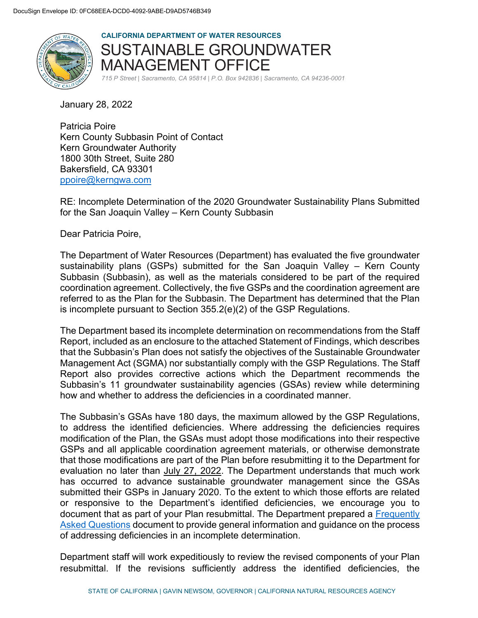

**CALIFORNIA DEPARTMENT OF WATER RESOURCES**  SUSTAINABLE GROUNDWATER MANAGEMENT OFFICE

*715 P Street | Sacramento, CA 95814 | P.O. Box 942836 | Sacramento, CA 94236-0001*

January 28, 2022

Patricia Poire Kern County Subbasin Point of Contact Kern Groundwater Authority 1800 30th Street, Suite 280 Bakersfield, CA 93301 [ppoire@kerngwa.com](mailto:ppoire@kerngwa.com)

RE: Incomplete Determination of the 2020 Groundwater Sustainability Plans Submitted for the San Joaquin Valley – Kern County Subbasin

Dear Patricia Poire,

The Department of Water Resources (Department) has evaluated the five groundwater sustainability plans (GSPs) submitted for the San Joaquin Valley – Kern County Subbasin (Subbasin), as well as the materials considered to be part of the required coordination agreement. Collectively, the five GSPs and the coordination agreement are referred to as the Plan for the Subbasin. The Department has determined that the Plan is incomplete pursuant to Section 355.2(e)(2) of the GSP Regulations.

The Department based its incomplete determination on recommendations from the Staff Report, included as an enclosure to the attached Statement of Findings, which describes that the Subbasin's Plan does not satisfy the objectives of the Sustainable Groundwater Management Act (SGMA) nor substantially comply with the GSP Regulations. The Staff Report also provides corrective actions which the Department recommends the Subbasin's 11 groundwater sustainability agencies (GSAs) review while determining how and whether to address the deficiencies in a coordinated manner.

The Subbasin's GSAs have 180 days, the maximum allowed by the GSP Regulations, to address the identified deficiencies. Where addressing the deficiencies requires modification of the Plan, the GSAs must adopt those modifications into their respective GSPs and all applicable coordination agreement materials, or otherwise demonstrate that those modifications are part of the Plan before resubmitting it to the Department for evaluation no later than July 27, 2022. The Department understands that much work has occurred to advance sustainable groundwater management since the GSAs submitted their GSPs in January 2020. To the extent to which those efforts are related or responsive to the Department's identified deficiencies, we encourage you to document that as part of your Plan resubmittal. The Department prepared a [Frequently](https://water.ca.gov/-/media/DWR-Website/Web-Pages/Programs/Groundwater-Management/Sustainable-Groundwater-Management/Groundwater-Sustainability-Plans/Files/GSP/GSP-Incomplete-Assessment-FAQ.pdf)  [Asked Questions](https://water.ca.gov/-/media/DWR-Website/Web-Pages/Programs/Groundwater-Management/Sustainable-Groundwater-Management/Groundwater-Sustainability-Plans/Files/GSP/GSP-Incomplete-Assessment-FAQ.pdf) document to provide general information and guidance on the process of addressing deficiencies in an incomplete determination.

Department staff will work expeditiously to review the revised components of your Plan resubmittal. If the revisions sufficiently address the identified deficiencies, the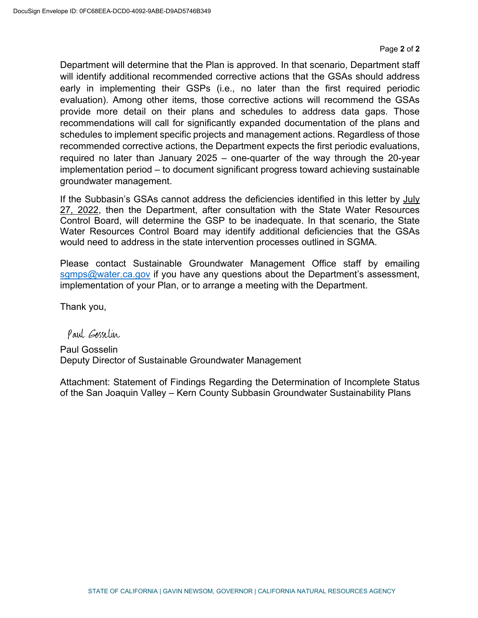Department will determine that the Plan is approved. In that scenario, Department staff will identify additional recommended corrective actions that the GSAs should address early in implementing their GSPs (i.e., no later than the first required periodic evaluation). Among other items, those corrective actions will recommend the GSAs provide more detail on their plans and schedules to address data gaps. Those recommendations will call for significantly expanded documentation of the plans and schedules to implement specific projects and management actions. Regardless of those recommended corrective actions, the Department expects the first periodic evaluations, required no later than January 2025 – one-quarter of the way through the 20-year implementation period – to document significant progress toward achieving sustainable groundwater management.

If the Subbasin's GSAs cannot address the deficiencies identified in this letter by July 27, 2022, then the Department, after consultation with the State Water Resources Control Board, will determine the GSP to be inadequate. In that scenario, the State Water Resources Control Board may identify additional deficiencies that the GSAs would need to address in the state intervention processes outlined in SGMA.

Please contact Sustainable Groundwater Management Office staff by emailing [sgmps@water.ca.gov](mailto:sgmps@water.ca.gov) if you have any questions about the Department's assessment, implementation of your Plan, or to arrange a meeting with the Department.

Thank you,

Paul Esselin

Paul Gosselin Deputy Director of Sustainable Groundwater Management

Attachment: Statement of Findings Regarding the Determination of Incomplete Status of the San Joaquin Valley – Kern County Subbasin Groundwater Sustainability Plans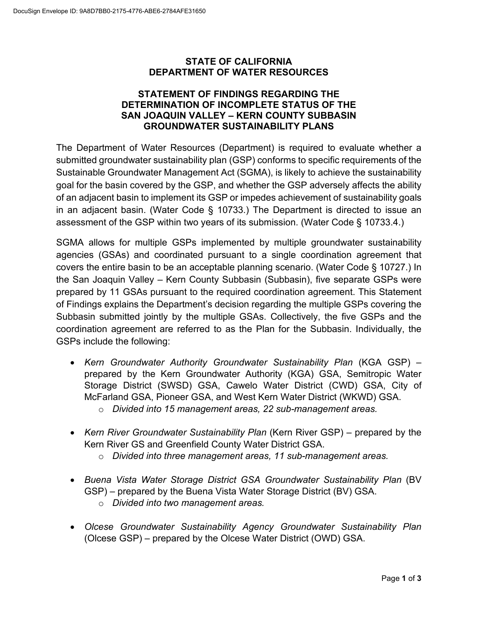#### **STATE OF CALIFORNIA DEPARTMENT OF WATER RESOURCES**

#### **STATEMENT OF FINDINGS REGARDING THE DETERMINATION OF INCOMPLETE STATUS OF THE SAN JOAQUIN VALLEY – KERN COUNTY SUBBASIN GROUNDWATER SUSTAINABILITY PLANS**

The Department of Water Resources (Department) is required to evaluate whether a submitted groundwater sustainability plan (GSP) conforms to specific requirements of the Sustainable Groundwater Management Act (SGMA), is likely to achieve the sustainability goal for the basin covered by the GSP, and whether the GSP adversely affects the ability of an adjacent basin to implement its GSP or impedes achievement of sustainability goals in an adjacent basin. (Water Code § 10733.) The Department is directed to issue an assessment of the GSP within two years of its submission. (Water Code § 10733.4.)

SGMA allows for multiple GSPs implemented by multiple groundwater sustainability agencies (GSAs) and coordinated pursuant to a single coordination agreement that covers the entire basin to be an acceptable planning scenario. (Water Code § 10727.) In the San Joaquin Valley – Kern County Subbasin (Subbasin), five separate GSPs were prepared by 11 GSAs pursuant to the required coordination agreement. This Statement of Findings explains the Department's decision regarding the multiple GSPs covering the Subbasin submitted jointly by the multiple GSAs. Collectively, the five GSPs and the coordination agreement are referred to as the Plan for the Subbasin. Individually, the GSPs include the following:

- *Kern Groundwater Authority Groundwater Sustainability Plan* (KGA GSP) prepared by the Kern Groundwater Authority (KGA) GSA, Semitropic Water Storage District (SWSD) GSA, Cawelo Water District (CWD) GSA, City of McFarland GSA, Pioneer GSA, and West Kern Water District (WKWD) GSA.
	- o *Divided into 15 management areas, 22 sub-management areas.*
- *Kern River Groundwater Sustainability Plan* (Kern River GSP) prepared by the Kern River GS and Greenfield County Water District GSA.
	- o *Divided into three management areas, 11 sub-management areas.*
- *Buena Vista Water Storage District GSA Groundwater Sustainability Plan* (BV GSP) – prepared by the Buena Vista Water Storage District (BV) GSA.
	- o *Divided into two management areas.*
- *Olcese Groundwater Sustainability Agency Groundwater Sustainability Plan* (Olcese GSP) – prepared by the Olcese Water District (OWD) GSA.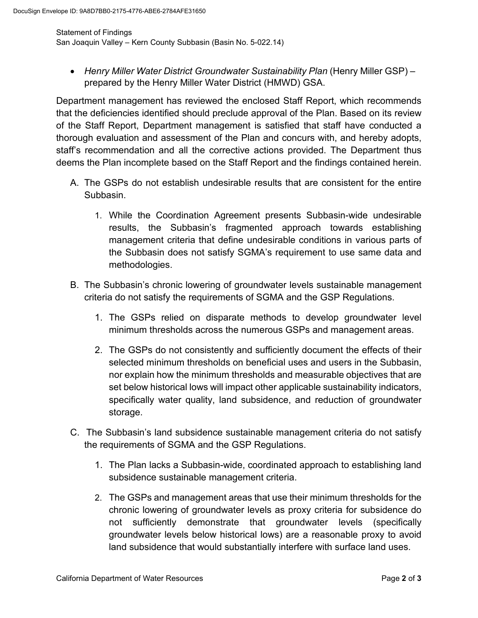Statement of Findings San Joaquin Valley – Kern County Subbasin (Basin No. 5-022.14)

• *Henry Miller Water District Groundwater Sustainability Plan (Henry Miller GSP) –* prepared by the Henry Miller Water District (HMWD) GSA.

Department management has reviewed the enclosed Staff Report, which recommends that the deficiencies identified should preclude approval of the Plan. Based on its review of the Staff Report, Department management is satisfied that staff have conducted a thorough evaluation and assessment of the Plan and concurs with, and hereby adopts, staff's recommendation and all the corrective actions provided. The Department thus deems the Plan incomplete based on the Staff Report and the findings contained herein.

- A. The GSPs do not establish undesirable results that are consistent for the entire Subbasin.
	- 1. While the Coordination Agreement presents Subbasin-wide undesirable results, the Subbasin's fragmented approach towards establishing management criteria that define undesirable conditions in various parts of the Subbasin does not satisfy SGMA's requirement to use same data and methodologies.
- B. The Subbasin's chronic lowering of groundwater levels sustainable management criteria do not satisfy the requirements of SGMA and the GSP Regulations.
	- 1. The GSPs relied on disparate methods to develop groundwater level minimum thresholds across the numerous GSPs and management areas.
	- 2. The GSPs do not consistently and sufficiently document the effects of their selected minimum thresholds on beneficial uses and users in the Subbasin, nor explain how the minimum thresholds and measurable objectives that are set below historical lows will impact other applicable sustainability indicators, specifically water quality, land subsidence, and reduction of groundwater storage.
- C. The Subbasin's land subsidence sustainable management criteria do not satisfy the requirements of SGMA and the GSP Regulations.
	- 1. The Plan lacks a Subbasin-wide, coordinated approach to establishing land subsidence sustainable management criteria.
	- 2. The GSPs and management areas that use their minimum thresholds for the chronic lowering of groundwater levels as proxy criteria for subsidence do not sufficiently demonstrate that groundwater levels (specifically groundwater levels below historical lows) are a reasonable proxy to avoid land subsidence that would substantially interfere with surface land uses.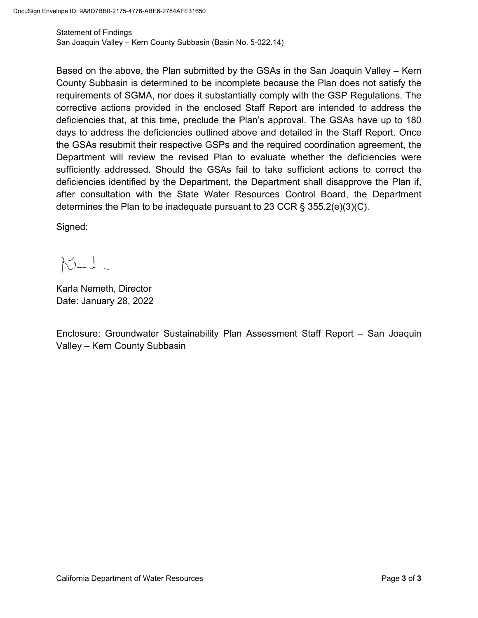Statement of Findings San Joaquin Valley – Kern County Subbasin (Basin No. 5-022.14)

Based on the above, the Plan submitted by the GSAs in the San Joaquin Valley – Kern County Subbasin is determined to be incomplete because the Plan does not satisfy the requirements of SGMA, nor does it substantially comply with the GSP Regulations. The corrective actions provided in the enclosed Staff Report are intended to address the deficiencies that, at this time, preclude the Plan's approval. The GSAs have up to 180 days to address the deficiencies outlined above and detailed in the Staff Report. Once the GSAs resubmit their respective GSPs and the required coordination agreement, the Department will review the revised Plan to evaluate whether the deficiencies were sufficiently addressed. Should the GSAs fail to take sufficient actions to correct the deficiencies identified by the Department, the Department shall disapprove the Plan if, after consultation with the State Water Resources Control Board, the Department determines the Plan to be inadequate pursuant to 23 CCR § 355.2(e)(3)(C).

Signed:

Karla Nemeth, Director Date: January 28, 2022

Enclosure: Groundwater Sustainability Plan Assessment Staff Report – San Joaquin Valley – Kern County Subbasin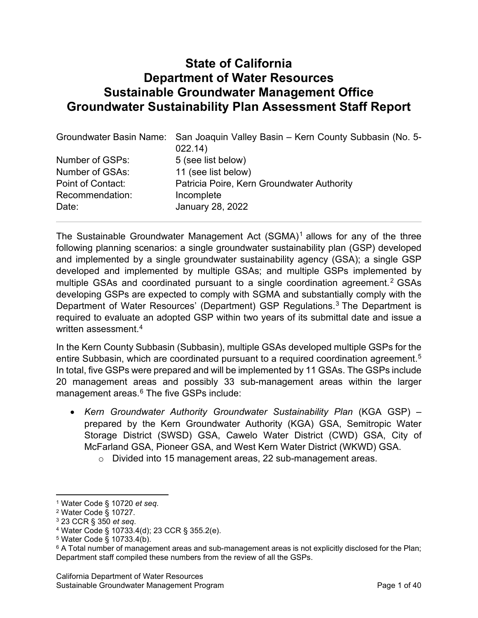# **State of California Department of Water Resources Sustainable Groundwater Management Office Groundwater Sustainability Plan Assessment Staff Report**

|                   | Groundwater Basin Name: San Joaquin Valley Basin - Kern County Subbasin (No. 5- |  |  |  |  |
|-------------------|---------------------------------------------------------------------------------|--|--|--|--|
|                   | 022.14)                                                                         |  |  |  |  |
| Number of GSPs:   | 5 (see list below)                                                              |  |  |  |  |
| Number of GSAs:   | 11 (see list below)                                                             |  |  |  |  |
| Point of Contact: | Patricia Poire, Kern Groundwater Authority                                      |  |  |  |  |
| Recommendation:   | Incomplete                                                                      |  |  |  |  |
| Date:             | January 28, 2022                                                                |  |  |  |  |
|                   |                                                                                 |  |  |  |  |

The Sustainable Groundwater Management Act  $(SGMA)^1$  $(SGMA)^1$  allows for any of the three following planning scenarios: a single groundwater sustainability plan (GSP) developed and implemented by a single groundwater sustainability agency (GSA); a single GSP developed and implemented by multiple GSAs; and multiple GSPs implemented by multiple GSAs and coordinated pursuant to a single coordination agreement.<sup>[2](#page-5-1)</sup> GSAs developing GSPs are expected to comply with SGMA and substantially comply with the Department of Water Resources' (Department) GSP Regulations.<sup>[3](#page-5-2)</sup> The Department is required to evaluate an adopted GSP within two years of its submittal date and issue a written assessment.<sup>[4](#page-5-3)</sup>

In the Kern County Subbasin (Subbasin), multiple GSAs developed multiple GSPs for the entire Subbasin, which are coordinated pursuant to a required coordination agreement. $^{\rm 5}$  $^{\rm 5}$  $^{\rm 5}$ In total, five GSPs were prepared and will be implemented by 11 GSAs. The GSPs include 20 management areas and possibly 33 sub-management areas within the larger management areas. $6$  The five GSPs include:

- *Kern Groundwater Authority Groundwater Sustainability Plan* (KGA GSP) prepared by the Kern Groundwater Authority (KGA) GSA, Semitropic Water Storage District (SWSD) GSA, Cawelo Water District (CWD) GSA, City of McFarland GSA, Pioneer GSA, and West Kern Water District (WKWD) GSA.
	- o Divided into 15 management areas, 22 sub-management areas.

<span id="page-5-0"></span><sup>1</sup> Water Code § 10720 *et seq*.

<span id="page-5-1"></span><sup>2</sup> Water Code § 10727.

<span id="page-5-3"></span><span id="page-5-2"></span><sup>3</sup> 23 CCR § <sup>350</sup>*et seq*. 4 Water Code § 10733.4(d); 23 CCR § 355.2(e).

<span id="page-5-4"></span><sup>5</sup> Water Code § 10733.4(b).

<span id="page-5-5"></span> $6$  A Total number of management areas and sub-management areas is not explicitly disclosed for the Plan; Department staff compiled these numbers from the review of all the GSPs.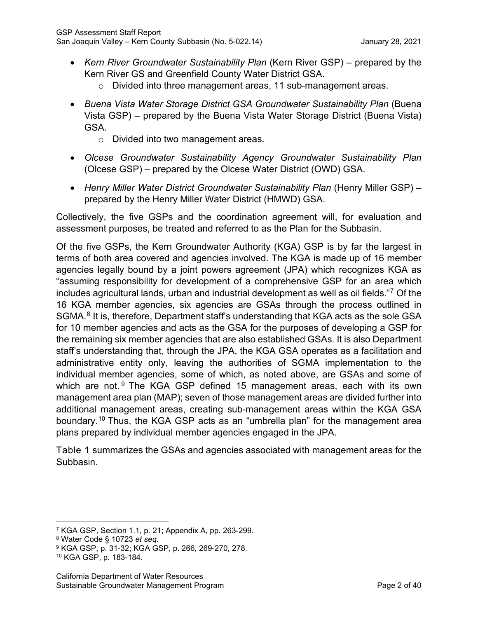- *Kern River Groundwater Sustainability Plan* (Kern River GSP) prepared by the Kern River GS and Greenfield County Water District GSA.
	- o Divided into three management areas, 11 sub-management areas.
- *Buena Vista Water Storage District GSA Groundwater Sustainability Plan* (Buena Vista GSP) – prepared by the Buena Vista Water Storage District (Buena Vista) GSA.
	- o Divided into two management areas.
- *Olcese Groundwater Sustainability Agency Groundwater Sustainability Plan* (Olcese GSP) – prepared by the Olcese Water District (OWD) GSA.
- *Henry Miller Water District Groundwater Sustainability Plan* (Henry Miller GSP) prepared by the Henry Miller Water District (HMWD) GSA.

Collectively, the five GSPs and the coordination agreement will, for evaluation and assessment purposes, be treated and referred to as the Plan for the Subbasin.

Of the five GSPs, the Kern Groundwater Authority (KGA) GSP is by far the largest in terms of both area covered and agencies involved. The KGA is made up of 16 member agencies legally bound by a joint powers agreement (JPA) which recognizes KGA as "assuming responsibility for development of a comprehensive GSP for an area which includes agricultural lands, urban and industrial development as well as oil fields."[7](#page-6-0) Of the 16 KGA member agencies, six agencies are GSAs through the process outlined in SGMA. [8](#page-6-1) It is, therefore, Department staff's understanding that KGA acts as the sole GSA for 10 member agencies and acts as the GSA for the purposes of developing a GSP for the remaining six member agencies that are also established GSAs. It is also Department staff's understanding that, through the JPA, the KGA GSA operates as a facilitation and administrative entity only, leaving the authorities of SGMA implementation to the individual member agencies, some of which, as noted above, are GSAs and some of which are not.  $9$  The KGA GSP defined 15 management areas, each with its own management area plan (MAP); seven of those management areas are divided further into additional management areas, creating sub-management areas within the KGA GSA boundary.[10](#page-6-3) Thus, the KGA GSP acts as an "umbrella plan" for the management area plans prepared by individual member agencies engaged in the JPA.

[Table 1](#page-7-0) summarizes the GSAs and agencies associated with management areas for the Subbasin.

<span id="page-6-0"></span><sup>7</sup> KGA GSP, Section 1.1, p. 21; Appendix A, pp. 263-299.

<span id="page-6-1"></span><sup>8</sup> Water Code § 10723 *et seq.*

<span id="page-6-2"></span><sup>9</sup> KGA GSP, p. 31-32; KGA GSP, p. 266, 269-270, 278.

<span id="page-6-3"></span><sup>10</sup> KGA GSP, p. 183-184.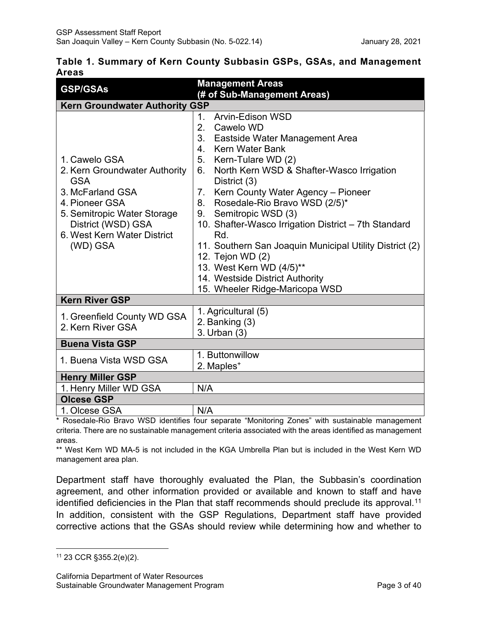<span id="page-7-0"></span>

|       | Table 1. Summary of Kern County Subbasin GSPs, GSAs, and Management |  |  |  |  |
|-------|---------------------------------------------------------------------|--|--|--|--|
| Areas |                                                                     |  |  |  |  |

| <b>GSP/GSAs</b>                                                                                                                                                                                    | <b>Management Areas</b><br>(# of Sub-Management Areas)                                                                                                                                                                                                                                                                                                                                                                                                                                                                                                                                       |  |  |  |  |
|----------------------------------------------------------------------------------------------------------------------------------------------------------------------------------------------------|----------------------------------------------------------------------------------------------------------------------------------------------------------------------------------------------------------------------------------------------------------------------------------------------------------------------------------------------------------------------------------------------------------------------------------------------------------------------------------------------------------------------------------------------------------------------------------------------|--|--|--|--|
| <b>Kern Groundwater Authority GSP</b>                                                                                                                                                              |                                                                                                                                                                                                                                                                                                                                                                                                                                                                                                                                                                                              |  |  |  |  |
| 1. Cawelo GSA<br>2. Kern Groundwater Authority<br><b>GSA</b><br>3. McFarland GSA<br>4. Pioneer GSA<br>5. Semitropic Water Storage<br>District (WSD) GSA<br>6. West Kern Water District<br>(WD) GSA | Arvin-Edison WSD<br>$1_{-}$<br>2.<br>Cawelo WD<br>3 <sub>1</sub><br>Eastside Water Management Area<br><b>Kern Water Bank</b><br>4.<br>5.<br>Kern-Tulare WD (2)<br>North Kern WSD & Shafter-Wasco Irrigation<br>6.<br>District (3)<br>Kern County Water Agency - Pioneer<br>7.<br>Rosedale-Rio Bravo WSD (2/5)*<br>8.<br>9. Semitropic WSD (3)<br>10. Shafter-Wasco Irrigation District - 7th Standard<br>Rd.<br>11. Southern San Joaquin Municipal Utility District (2)<br>12. Tejon WD (2)<br>13. West Kern WD (4/5)**<br>14. Westside District Authority<br>15. Wheeler Ridge-Maricopa WSD |  |  |  |  |
| <b>Kern River GSP</b>                                                                                                                                                                              |                                                                                                                                                                                                                                                                                                                                                                                                                                                                                                                                                                                              |  |  |  |  |
| 1. Greenfield County WD GSA<br>2. Kern River GSA                                                                                                                                                   | 1. Agricultural (5)<br>2. Banking (3)<br>3. Urban (3)                                                                                                                                                                                                                                                                                                                                                                                                                                                                                                                                        |  |  |  |  |
| <b>Buena Vista GSP</b>                                                                                                                                                                             |                                                                                                                                                                                                                                                                                                                                                                                                                                                                                                                                                                                              |  |  |  |  |
| 1. Buena Vista WSD GSA                                                                                                                                                                             | 1. Buttonwillow<br>2. Maples <sup>+</sup>                                                                                                                                                                                                                                                                                                                                                                                                                                                                                                                                                    |  |  |  |  |
| <b>Henry Miller GSP</b>                                                                                                                                                                            |                                                                                                                                                                                                                                                                                                                                                                                                                                                                                                                                                                                              |  |  |  |  |
| 1. Henry Miller WD GSA                                                                                                                                                                             | N/A                                                                                                                                                                                                                                                                                                                                                                                                                                                                                                                                                                                          |  |  |  |  |
| <b>Olcese GSP</b>                                                                                                                                                                                  |                                                                                                                                                                                                                                                                                                                                                                                                                                                                                                                                                                                              |  |  |  |  |
| 1. Olcese GSA                                                                                                                                                                                      | N/A                                                                                                                                                                                                                                                                                                                                                                                                                                                                                                                                                                                          |  |  |  |  |

\* Rosedale-Rio Bravo WSD identifies four separate "Monitoring Zones" with sustainable management criteria. There are no sustainable management criteria associated with the areas identified as management areas.

\*\* West Kern WD MA-5 is not included in the KGA Umbrella Plan but is included in the West Kern WD management area plan.

Department staff have thoroughly evaluated the Plan, the Subbasin's coordination agreement, and other information provided or available and known to staff and have identified deficiencies in the Plan that staff recommends should preclude its approval.<sup>[11](#page-7-1)</sup> In addition, consistent with the GSP Regulations, Department staff have provided corrective actions that the GSAs should review while determining how and whether to

<span id="page-7-1"></span><sup>11</sup> 23 CCR §355.2(e)(2).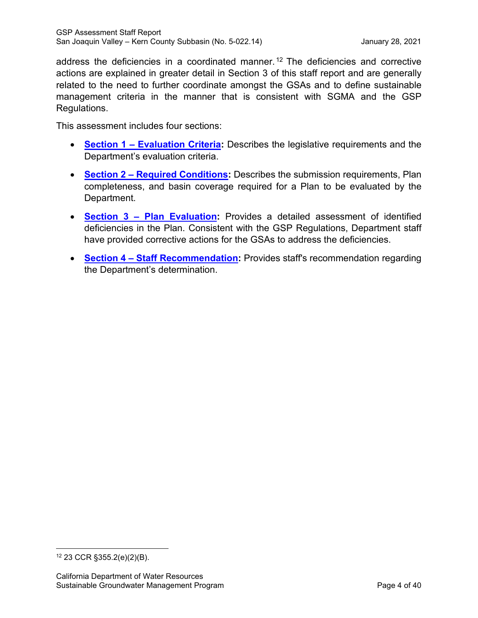address the deficiencies in a coordinated manner. [12](#page-8-0) The deficiencies and corrective actions are explained in greater detail in Section 3 of this staff report and are generally related to the need to further coordinate amongst the GSAs and to define sustainable management criteria in the manner that is consistent with SGMA and the GSP Regulations.

This assessment includes four sections:

- **Section 1 – [Evaluation](#page-9-0) Criteria:** Describes the legislative requirements and the Department's evaluation criteria.
- **Section 2 – Required [Conditions:](#page-12-0)** Describes the submission requirements, Plan completeness, and basin coverage required for a Plan to be evaluated by the Department.
- **Section 3 – Plan [Evaluation:](#page-14-0)** Provides a detailed assessment of identified deficiencies in the Plan. Consistent with the GSP Regulations, Department staff have provided corrective actions for the GSAs to address the deficiencies.
- **Section 4 – Staff [Recommendation:](#page-44-0)** Provides staff's recommendation regarding the Department's determination.

<span id="page-8-0"></span><sup>12</sup> 23 CCR §355.2(e)(2)(B).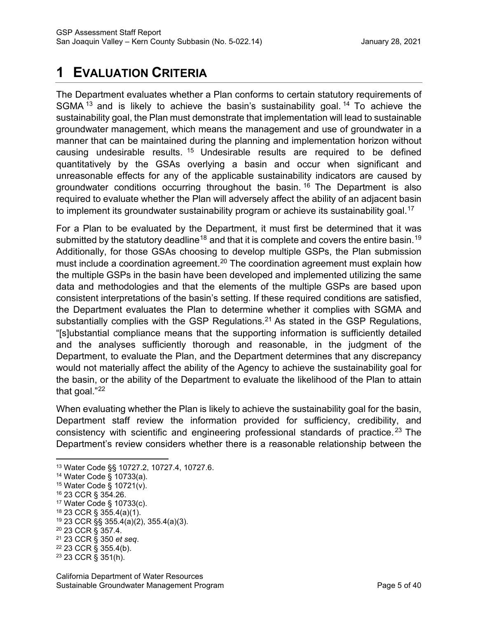# <span id="page-9-0"></span>**1 EVALUATION CRITERIA**

The Department evaluates whether a Plan conforms to certain statutory requirements of SGMA  $13$  and is likely to achieve the basin's sustainability goal.  $14$  To achieve the sustainability goal, the Plan must demonstrate that implementation will lead to sustainable groundwater management, which means the management and use of groundwater in a manner that can be maintained during the planning and implementation horizon without causing undesirable results. [15](#page-9-3) Undesirable results are required to be defined quantitatively by the GSAs overlying a basin and occur when significant and unreasonable effects for any of the applicable sustainability indicators are caused by groundwater conditions occurring throughout the basin. [16](#page-9-4) The Department is also required to evaluate whether the Plan will adversely affect the ability of an adjacent basin to implement its groundwater sustainability program or achieve its sustainability goal.<sup>[17](#page-9-5)</sup>

For a Plan to be evaluated by the Department, it must first be determined that it was submitted by the statutory deadline<sup>[18](#page-9-6)</sup> and that it is complete and covers the entire basin.<sup>[19](#page-9-7)</sup> Additionally, for those GSAs choosing to develop multiple GSPs, the Plan submission must include a coordination agreement.<sup>[20](#page-9-8)</sup> The coordination agreement must explain how the multiple GSPs in the basin have been developed and implemented utilizing the same data and methodologies and that the elements of the multiple GSPs are based upon consistent interpretations of the basin's setting. If these required conditions are satisfied, the Department evaluates the Plan to determine whether it complies with SGMA and substantially complies with the GSP Regulations.<sup>21</sup> As stated in the GSP Regulations, "[s]ubstantial compliance means that the supporting information is sufficiently detailed and the analyses sufficiently thorough and reasonable, in the judgment of the Department, to evaluate the Plan, and the Department determines that any discrepancy would not materially affect the ability of the Agency to achieve the sustainability goal for the basin, or the ability of the Department to evaluate the likelihood of the Plan to attain that goal."[22](#page-9-10)

When evaluating whether the Plan is likely to achieve the sustainability goal for the basin, Department staff review the information provided for sufficiency, credibility, and consistency with scientific and engineering professional standards of practice. [23](#page-9-11) The Department's review considers whether there is a reasonable relationship between the

- <span id="page-9-4"></span><sup>16</sup> 23 CCR § 354.26.
- <span id="page-9-5"></span><sup>17</sup> Water Code § 10733(c).
- <span id="page-9-6"></span><sup>18</sup> 23 CCR § 355.4(a)(1).
- <span id="page-9-7"></span><sup>19</sup> 23 CCR §§ 355.4(a)(2), 355.4(a)(3).
- <span id="page-9-8"></span><sup>20</sup> 23 CCR § 357.4.

<span id="page-9-10"></span><sup>22</sup> 23 CCR § 355.4(b).

<span id="page-9-1"></span><sup>13</sup> Water Code §§ 10727.2, 10727.4, 10727.6.

<span id="page-9-2"></span><sup>14</sup> Water Code § 10733(a).

<span id="page-9-3"></span><sup>15</sup> Water Code § 10721(v).

<span id="page-9-9"></span><sup>21</sup> 23 CCR § 350 *et seq*.

<span id="page-9-11"></span><sup>23</sup> 23 CCR § 351(h).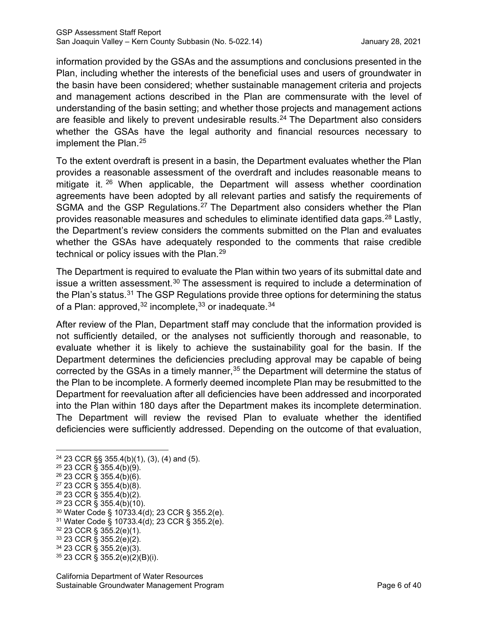information provided by the GSAs and the assumptions and conclusions presented in the Plan, including whether the interests of the beneficial uses and users of groundwater in the basin have been considered; whether sustainable management criteria and projects and management actions described in the Plan are commensurate with the level of understanding of the basin setting; and whether those projects and management actions are feasible and likely to prevent undesirable results.<sup>24</sup> The Department also considers whether the GSAs have the legal authority and financial resources necessary to implement the Plan.<sup>[25](#page-10-1)</sup>

To the extent overdraft is present in a basin, the Department evaluates whether the Plan provides a reasonable assessment of the overdraft and includes reasonable means to mitigate it.<sup>[26](#page-10-2)</sup> When applicable, the Department will assess whether coordination agreements have been adopted by all relevant parties and satisfy the requirements of SGMA and the GSP Regulations.<sup>[27](#page-10-3)</sup> The Department also considers whether the Plan provides reasonable measures and schedules to eliminate identified data gaps.  $^{28}$  $^{28}$  $^{28}$  Lastly, the Department's review considers the comments submitted on the Plan and evaluates whether the GSAs have adequately responded to the comments that raise credible technical or policy issues with the Plan.<sup>[29](#page-10-5)</sup>

The Department is required to evaluate the Plan within two years of its submittal date and issue a written assessment.<sup>[30](#page-10-6)</sup> The assessment is required to include a determination of the Plan's status. $31$  The GSP Regulations provide three options for determining the status of a Plan: approved,  $32$  incomplete,  $33$  or inadequate.  $34$ 

After review of the Plan, Department staff may conclude that the information provided is not sufficiently detailed, or the analyses not sufficiently thorough and reasonable, to evaluate whether it is likely to achieve the sustainability goal for the basin. If the Department determines the deficiencies precluding approval may be capable of being corrected by the GSAs in a timely manner,<sup>[35](#page-10-11)</sup> the Department will determine the status of the Plan to be incomplete. A formerly deemed incomplete Plan may be resubmitted to the Department for reevaluation after all deficiencies have been addressed and incorporated into the Plan within 180 days after the Department makes its incomplete determination. The Department will review the revised Plan to evaluate whether the identified deficiencies were sufficiently addressed. Depending on the outcome of that evaluation,

- <span id="page-10-5"></span> $29$  23 CCR § 355.4(b)(10).
- <span id="page-10-6"></span><sup>30</sup> Water Code § 10733.4(d); 23 CCR § 355.2(e).

<span id="page-10-8"></span><sup>32</sup> 23 CCR § 355.2(e)(1).

<span id="page-10-10"></span><sup>34</sup> 23 CCR § 355.2(e)(3).

<span id="page-10-0"></span><sup>24</sup> 23 CCR §§ 355.4(b)(1), (3), (4) and (5).

<span id="page-10-1"></span><sup>25</sup> 23 CCR § 355.4(b)(9).

<span id="page-10-2"></span> $26$  23 CCR § 355.4(b)(6).

<span id="page-10-3"></span> $27$  23 CCR § 355.4(b)(8).

<span id="page-10-4"></span><sup>28</sup> 23 CCR § 355.4(b)(2).

<span id="page-10-7"></span><sup>31</sup> Water Code § 10733.4(d); 23 CCR § 355.2(e).

<span id="page-10-9"></span><sup>33</sup> 23 CCR § 355.2(e)(2).

<span id="page-10-11"></span> $35$  23 CCR § 355.2(e)(2)(B)(i).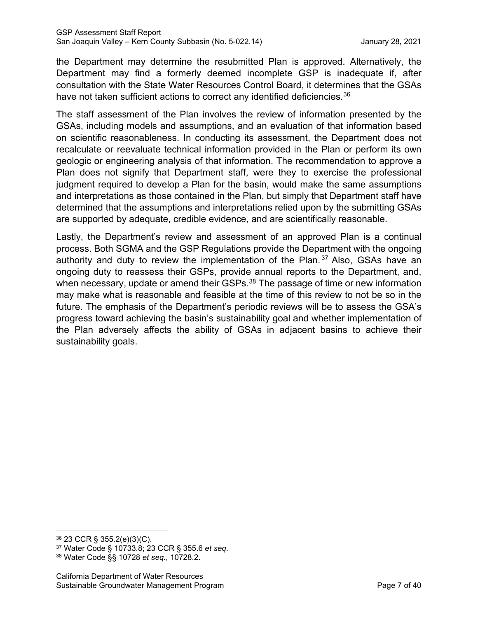the Department may determine the resubmitted Plan is approved. Alternatively, the Department may find a formerly deemed incomplete GSP is inadequate if, after consultation with the State Water Resources Control Board, it determines that the GSAs have not taken sufficient actions to correct any identified deficiencies.<sup>[36](#page-11-0)</sup>

The staff assessment of the Plan involves the review of information presented by the GSAs, including models and assumptions, and an evaluation of that information based on scientific reasonableness. In conducting its assessment, the Department does not recalculate or reevaluate technical information provided in the Plan or perform its own geologic or engineering analysis of that information. The recommendation to approve a Plan does not signify that Department staff, were they to exercise the professional judgment required to develop a Plan for the basin, would make the same assumptions and interpretations as those contained in the Plan, but simply that Department staff have determined that the assumptions and interpretations relied upon by the submitting GSAs are supported by adequate, credible evidence, and are scientifically reasonable.

Lastly, the Department's review and assessment of an approved Plan is a continual process. Both SGMA and the GSP Regulations provide the Department with the ongoing authority and duty to review the implementation of the Plan. [37](#page-11-1) Also, GSAs have an ongoing duty to reassess their GSPs, provide annual reports to the Department, and, when necessary, update or amend their GSPs.<sup>[38](#page-11-2)</sup> The passage of time or new information may make what is reasonable and feasible at the time of this review to not be so in the future. The emphasis of the Department's periodic reviews will be to assess the GSA's progress toward achieving the basin's sustainability goal and whether implementation of the Plan adversely affects the ability of GSAs in adjacent basins to achieve their sustainability goals.

<span id="page-11-0"></span><sup>36</sup> 23 CCR § 355.2(e)(3)(C).

<span id="page-11-1"></span><sup>37</sup> Water Code § 10733.8; 23 CCR § 355.6 *et seq*.

<span id="page-11-2"></span><sup>38</sup> Water Code §§ 10728 *et seq.*, 10728.2.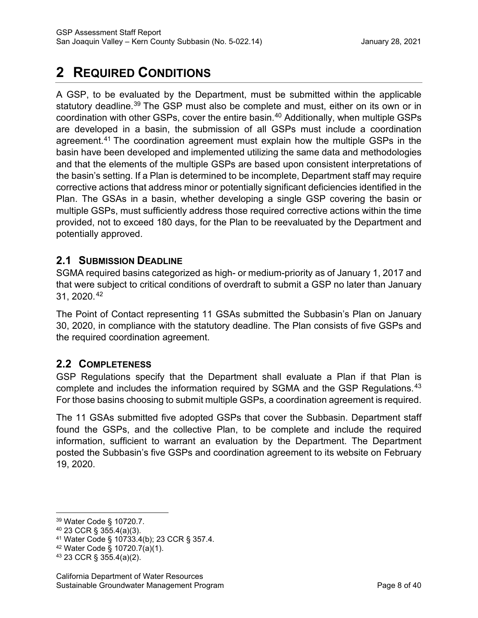# <span id="page-12-0"></span>**2 REQUIRED CONDITIONS**

A GSP, to be evaluated by the Department, must be submitted within the applicable statutory deadline.<sup>[39](#page-12-1)</sup> The GSP must also be complete and must, either on its own or in coordination with other GSPs, cover the entire basin.[40](#page-12-2) Additionally, when multiple GSPs are developed in a basin, the submission of all GSPs must include a coordination agreement.[41](#page-12-3) The coordination agreement must explain how the multiple GSPs in the basin have been developed and implemented utilizing the same data and methodologies and that the elements of the multiple GSPs are based upon consistent interpretations of the basin's setting. If a Plan is determined to be incomplete, Department staff may require corrective actions that address minor or potentially significant deficiencies identified in the Plan. The GSAs in a basin, whether developing a single GSP covering the basin or multiple GSPs, must sufficiently address those required corrective actions within the time provided, not to exceed 180 days, for the Plan to be reevaluated by the Department and potentially approved.

# **2.1 SUBMISSION DEADLINE**

SGMA required basins categorized as high- or medium-priority as of January 1, 2017 and that were subject to critical conditions of overdraft to submit a GSP no later than January 31, 2020.[42](#page-12-4)

The Point of Contact representing 11 GSAs submitted the Subbasin's Plan on January 30, 2020, in compliance with the statutory deadline. The Plan consists of five GSPs and the required coordination agreement.

# **2.2 COMPLETENESS**

GSP Regulations specify that the Department shall evaluate a Plan if that Plan is complete and includes the information required by SGMA and the GSP Regulations.<sup>[43](#page-12-5)</sup> For those basins choosing to submit multiple GSPs, a coordination agreement is required.

The 11 GSAs submitted five adopted GSPs that cover the Subbasin. Department staff found the GSPs, and the collective Plan, to be complete and include the required information, sufficient to warrant an evaluation by the Department. The Department posted the Subbasin's five GSPs and coordination agreement to its website on February 19, 2020.

<span id="page-12-1"></span><sup>39</sup> Water Code § 10720.7.

<span id="page-12-2"></span><sup>40</sup> 23 CCR § 355.4(a)(3).

<span id="page-12-3"></span><sup>41</sup> Water Code § 10733.4(b); 23 CCR § 357.4.

<span id="page-12-4"></span><sup>42</sup> Water Code § 10720.7(a)(1).

<span id="page-12-5"></span><sup>43</sup> 23 CCR § 355.4(a)(2).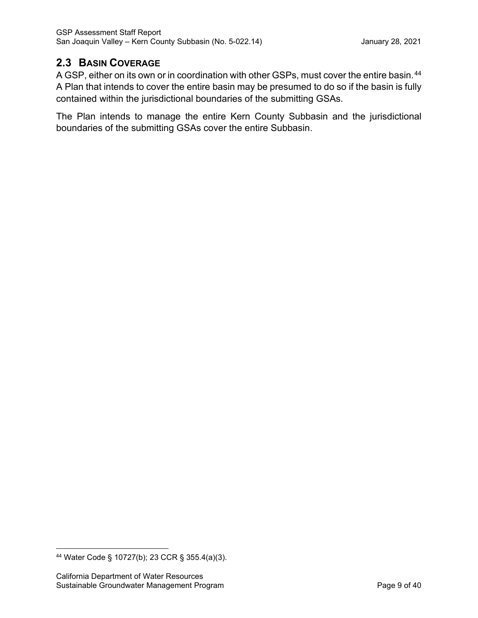# **2.3 BASIN COVERAGE**

A GSP, either on its own or in coordination with other GSPs, must cover the entire basin.<sup>[44](#page-13-0)</sup> A Plan that intends to cover the entire basin may be presumed to do so if the basin is fully contained within the jurisdictional boundaries of the submitting GSAs.

The Plan intends to manage the entire Kern County Subbasin and the jurisdictional boundaries of the submitting GSAs cover the entire Subbasin.

<span id="page-13-0"></span><sup>44</sup> Water Code § 10727(b); 23 CCR § 355.4(a)(3).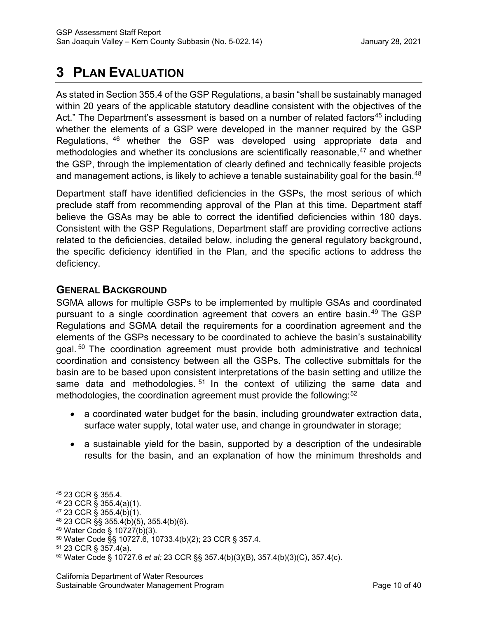# <span id="page-14-0"></span>**3 PLAN EVALUATION**

As stated in Section 355.4 of the GSP Regulations, a basin "shall be sustainably managed within 20 years of the applicable statutory deadline consistent with the objectives of the Act." The Department's assessment is based on a number of related factors<sup>45</sup> including whether the elements of a GSP were developed in the manner required by the GSP Regulations, [46](#page-14-2) whether the GSP was developed using appropriate data and methodologies and whether its conclusions are scientifically reasonable,  $47$  and whether the GSP, through the implementation of clearly defined and technically feasible projects and management actions, is likely to achieve a tenable sustainability goal for the basin.<sup>[48](#page-14-4)</sup>

Department staff have identified deficiencies in the GSPs, the most serious of which preclude staff from recommending approval of the Plan at this time. Department staff believe the GSAs may be able to correct the identified deficiencies within 180 days. Consistent with the GSP Regulations, Department staff are providing corrective actions related to the deficiencies, detailed below, including the general regulatory background, the specific deficiency identified in the Plan, and the specific actions to address the deficiency.

# **GENERAL BACKGROUND**

SGMA allows for multiple GSPs to be implemented by multiple GSAs and coordinated pursuant to a single coordination agreement that covers an entire basin.<sup>[49](#page-14-5)</sup> The GSP Regulations and SGMA detail the requirements for a coordination agreement and the elements of the GSPs necessary to be coordinated to achieve the basin's sustainability goal.<sup>[50](#page-14-6)</sup> The coordination agreement must provide both administrative and technical coordination and consistency between all the GSPs. The collective submittals for the basin are to be based upon consistent interpretations of the basin setting and utilize the same data and methodologies.  $51$  In the context of utilizing the same data and methodologies, the coordination agreement must provide the following:<sup>[52](#page-14-8)</sup>

- a coordinated water budget for the basin, including groundwater extraction data, surface water supply, total water use, and change in groundwater in storage;
- a sustainable yield for the basin, supported by a description of the undesirable results for the basin, and an explanation of how the minimum thresholds and

<span id="page-14-1"></span><sup>45</sup> 23 CCR § 355.4.

<span id="page-14-2"></span><sup>46</sup> 23 CCR § 355.4(a)(1).

<span id="page-14-3"></span><sup>47</sup> 23 CCR § 355.4(b)(1).

<span id="page-14-4"></span><sup>48</sup> 23 CCR §§ 355.4(b)(5), 355.4(b)(6).

<span id="page-14-5"></span><sup>49</sup> Water Code § 10727(b)(3).

<span id="page-14-6"></span><sup>50</sup> Water Code §§ 10727.6, 10733.4(b)(2); 23 CCR § 357.4.

<span id="page-14-7"></span><sup>51</sup> 23 CCR § 357.4(a).

<span id="page-14-8"></span><sup>52</sup> Water Code § 10727.6 *et al;* 23 CCR §§ 357.4(b)(3)(B), 357.4(b)(3)(C), 357.4(c)*.*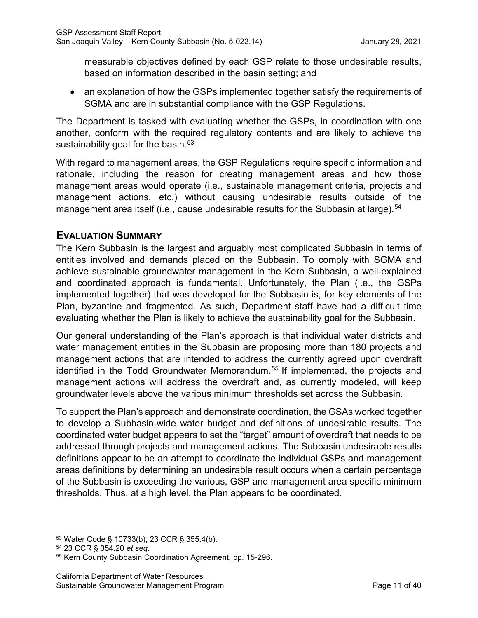measurable objectives defined by each GSP relate to those undesirable results, based on information described in the basin setting; and

• an explanation of how the GSPs implemented together satisfy the requirements of SGMA and are in substantial compliance with the GSP Regulations.

The Department is tasked with evaluating whether the GSPs, in coordination with one another, conform with the required regulatory contents and are likely to achieve the sustainability goal for the basin. $53$ 

With regard to management areas, the GSP Regulations require specific information and rationale, including the reason for creating management areas and how those management areas would operate (i.e., sustainable management criteria, projects and management actions, etc.) without causing undesirable results outside of the management area itself (i.e., cause undesirable results for the Subbasin at large).<sup>54</sup>

# **EVALUATION SUMMARY**

The Kern Subbasin is the largest and arguably most complicated Subbasin in terms of entities involved and demands placed on the Subbasin. To comply with SGMA and achieve sustainable groundwater management in the Kern Subbasin, a well-explained and coordinated approach is fundamental. Unfortunately, the Plan (i.e., the GSPs implemented together) that was developed for the Subbasin is, for key elements of the Plan, byzantine and fragmented. As such, Department staff have had a difficult time evaluating whether the Plan is likely to achieve the sustainability goal for the Subbasin.

Our general understanding of the Plan's approach is that individual water districts and water management entities in the Subbasin are proposing more than 180 projects and management actions that are intended to address the currently agreed upon overdraft identified in the Todd Groundwater Memorandum.<sup>[55](#page-15-2)</sup> If implemented, the projects and management actions will address the overdraft and, as currently modeled, will keep groundwater levels above the various minimum thresholds set across the Subbasin.

To support the Plan's approach and demonstrate coordination, the GSAs worked together to develop a Subbasin-wide water budget and definitions of undesirable results. The coordinated water budget appears to set the "target" amount of overdraft that needs to be addressed through projects and management actions. The Subbasin undesirable results definitions appear to be an attempt to coordinate the individual GSPs and management areas definitions by determining an undesirable result occurs when a certain percentage of the Subbasin is exceeding the various, GSP and management area specific minimum thresholds. Thus, at a high level, the Plan appears to be coordinated.

<span id="page-15-0"></span><sup>53</sup> Water Code § 10733(b); 23 CCR § 355.4(b).

<span id="page-15-1"></span><sup>54</sup> 23 CCR § 354.20 *et seq*.

<span id="page-15-2"></span><sup>55</sup> Kern County Subbasin Coordination Agreement, pp. 15-296.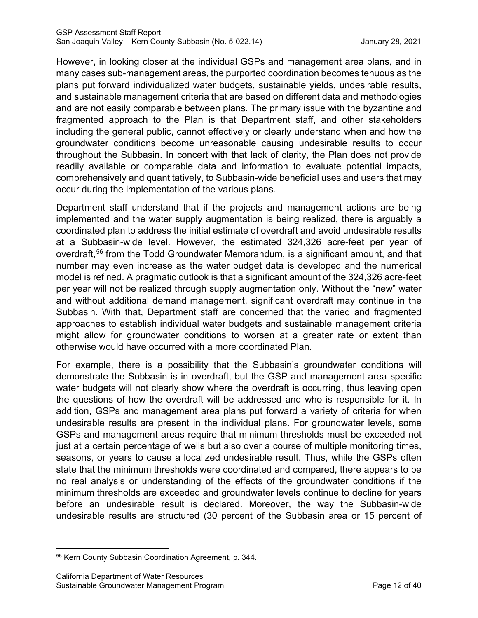However, in looking closer at the individual GSPs and management area plans, and in many cases sub-management areas, the purported coordination becomes tenuous as the plans put forward individualized water budgets, sustainable yields, undesirable results, and sustainable management criteria that are based on different data and methodologies and are not easily comparable between plans. The primary issue with the byzantine and fragmented approach to the Plan is that Department staff, and other stakeholders including the general public, cannot effectively or clearly understand when and how the groundwater conditions become unreasonable causing undesirable results to occur throughout the Subbasin. In concert with that lack of clarity, the Plan does not provide readily available or comparable data and information to evaluate potential impacts, comprehensively and quantitatively, to Subbasin-wide beneficial uses and users that may occur during the implementation of the various plans.

Department staff understand that if the projects and management actions are being implemented and the water supply augmentation is being realized, there is arguably a coordinated plan to address the initial estimate of overdraft and avoid undesirable results at a Subbasin-wide level. However, the estimated 324,326 acre-feet per year of overdraft, [56](#page-16-0) from the Todd Groundwater Memorandum, is a significant amount, and that number may even increase as the water budget data is developed and the numerical model is refined. A pragmatic outlook is that a significant amount of the 324,326 acre-feet per year will not be realized through supply augmentation only. Without the "new" water and without additional demand management, significant overdraft may continue in the Subbasin. With that, Department staff are concerned that the varied and fragmented approaches to establish individual water budgets and sustainable management criteria might allow for groundwater conditions to worsen at a greater rate or extent than otherwise would have occurred with a more coordinated Plan.

For example, there is a possibility that the Subbasin's groundwater conditions will demonstrate the Subbasin is in overdraft, but the GSP and management area specific water budgets will not clearly show where the overdraft is occurring, thus leaving open the questions of how the overdraft will be addressed and who is responsible for it. In addition, GSPs and management area plans put forward a variety of criteria for when undesirable results are present in the individual plans. For groundwater levels, some GSPs and management areas require that minimum thresholds must be exceeded not just at a certain percentage of wells but also over a course of multiple monitoring times, seasons, or years to cause a localized undesirable result. Thus, while the GSPs often state that the minimum thresholds were coordinated and compared, there appears to be no real analysis or understanding of the effects of the groundwater conditions if the minimum thresholds are exceeded and groundwater levels continue to decline for years before an undesirable result is declared. Moreover, the way the Subbasin-wide undesirable results are structured (30 percent of the Subbasin area or 15 percent of

<span id="page-16-0"></span><sup>56</sup> Kern County Subbasin Coordination Agreement, p. 344.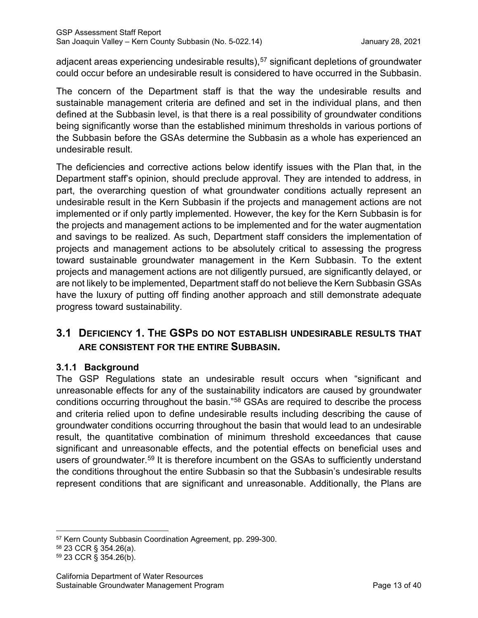adjacent areas experiencing undesirable results), [57](#page-17-0) significant depletions of groundwater could occur before an undesirable result is considered to have occurred in the Subbasin.

The concern of the Department staff is that the way the undesirable results and sustainable management criteria are defined and set in the individual plans, and then defined at the Subbasin level, is that there is a real possibility of groundwater conditions being significantly worse than the established minimum thresholds in various portions of the Subbasin before the GSAs determine the Subbasin as a whole has experienced an undesirable result.

The deficiencies and corrective actions below identify issues with the Plan that, in the Department staff's opinion, should preclude approval. They are intended to address, in part, the overarching question of what groundwater conditions actually represent an undesirable result in the Kern Subbasin if the projects and management actions are not implemented or if only partly implemented. However, the key for the Kern Subbasin is for the projects and management actions to be implemented and for the water augmentation and savings to be realized. As such, Department staff considers the implementation of projects and management actions to be absolutely critical to assessing the progress toward sustainable groundwater management in the Kern Subbasin. To the extent projects and management actions are not diligently pursued, are significantly delayed, or are not likely to be implemented, Department staff do not believe the Kern Subbasin GSAs have the luxury of putting off finding another approach and still demonstrate adequate progress toward sustainability.

# **3.1 DEFICIENCY 1. THE GSPS DO NOT ESTABLISH UNDESIRABLE RESULTS THAT ARE CONSISTENT FOR THE ENTIRE SUBBASIN.**

# **3.1.1 Background**

The GSP Regulations state an undesirable result occurs when "significant and unreasonable effects for any of the sustainability indicators are caused by groundwater conditions occurring throughout the basin."[58](#page-17-1) GSAs are required to describe the process and criteria relied upon to define undesirable results including describing the cause of groundwater conditions occurring throughout the basin that would lead to an undesirable result, the quantitative combination of minimum threshold exceedances that cause significant and unreasonable effects, and the potential effects on beneficial uses and users of groundwater.<sup>[59](#page-17-2)</sup> It is therefore incumbent on the GSAs to sufficiently understand the conditions throughout the entire Subbasin so that the Subbasin's undesirable results represent conditions that are significant and unreasonable. Additionally, the Plans are

<span id="page-17-0"></span><sup>57</sup> Kern County Subbasin Coordination Agreement, pp. 299-300.

<span id="page-17-1"></span><sup>58</sup> 23 CCR § 354.26(a).

<span id="page-17-2"></span><sup>59</sup> 23 CCR § 354.26(b).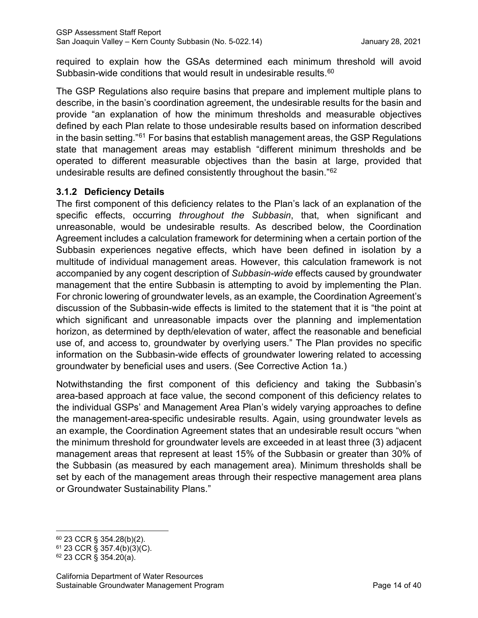required to explain how the GSAs determined each minimum threshold will avoid Subbasin-wide conditions that would result in undesirable results.<sup>60</sup>

The GSP Regulations also require basins that prepare and implement multiple plans to describe, in the basin's coordination agreement, the undesirable results for the basin and provide "an explanation of how the minimum thresholds and measurable objectives defined by each Plan relate to those undesirable results based on information described in the basin setting."[61](#page-18-1) For basins that establish management areas, the GSP Regulations state that management areas may establish "different minimum thresholds and be operated to different measurable objectives than the basin at large, provided that undesirable results are defined consistently throughout the basin."[62](#page-18-2)

# **3.1.2 Deficiency Details**

The first component of this deficiency relates to the Plan's lack of an explanation of the specific effects, occurring *throughout the Subbasin*, that, when significant and unreasonable, would be undesirable results. As described below, the Coordination Agreement includes a calculation framework for determining when a certain portion of the Subbasin experiences negative effects, which have been defined in isolation by a multitude of individual management areas. However, this calculation framework is not accompanied by any cogent description of *Subbasin-wide* effects caused by groundwater management that the entire Subbasin is attempting to avoid by implementing the Plan. For chronic lowering of groundwater levels, as an example, the Coordination Agreement's discussion of the Subbasin-wide effects is limited to the statement that it is "the point at which significant and unreasonable impacts over the planning and implementation horizon, as determined by depth/elevation of water, affect the reasonable and beneficial use of, and access to, groundwater by overlying users." The Plan provides no specific information on the Subbasin-wide effects of groundwater lowering related to accessing groundwater by beneficial uses and users. (See Corrective Action 1a.)

Notwithstanding the first component of this deficiency and taking the Subbasin's area-based approach at face value, the second component of this deficiency relates to the individual GSPs' and Management Area Plan's widely varying approaches to define the management-area-specific undesirable results. Again, using groundwater levels as an example, the Coordination Agreement states that an undesirable result occurs "when the minimum threshold for groundwater levels are exceeded in at least three (3) adjacent management areas that represent at least 15% of the Subbasin or greater than 30% of the Subbasin (as measured by each management area). Minimum thresholds shall be set by each of the management areas through their respective management area plans or Groundwater Sustainability Plans."

<span id="page-18-0"></span><sup>60</sup> 23 CCR § 354.28(b)(2).

<span id="page-18-1"></span><sup>61</sup> 23 CCR § 357.4(b)(3)(C).

<span id="page-18-2"></span><sup>62</sup> 23 CCR § 354.20(a).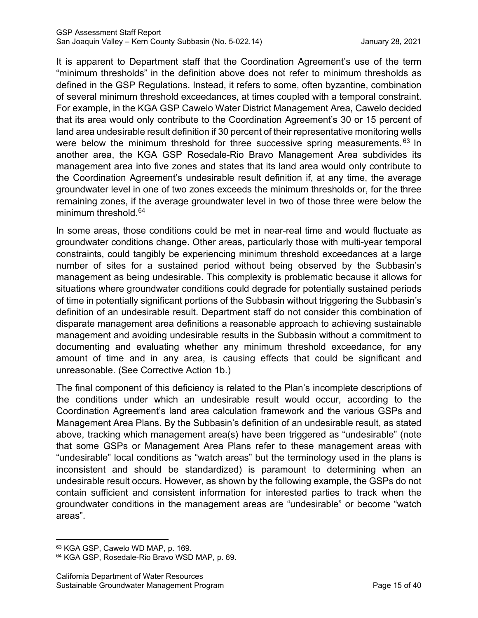It is apparent to Department staff that the Coordination Agreement's use of the term "minimum thresholds" in the definition above does not refer to minimum thresholds as defined in the GSP Regulations. Instead, it refers to some, often byzantine, combination of several minimum threshold exceedances, at times coupled with a temporal constraint. For example, in the KGA GSP Cawelo Water District Management Area, Cawelo decided that its area would only contribute to the Coordination Agreement's 30 or 15 percent of land area undesirable result definition if 30 percent of their representative monitoring wells were below the minimum threshold for three successive spring measurements. <sup>[63](#page-19-0)</sup> In another area, the KGA GSP Rosedale-Rio Bravo Management Area subdivides its management area into five zones and states that its land area would only contribute to the Coordination Agreement's undesirable result definition if, at any time, the average groundwater level in one of two zones exceeds the minimum thresholds or, for the three remaining zones, if the average groundwater level in two of those three were below the minimum threshold.<sup>[64](#page-19-1)</sup>

In some areas, those conditions could be met in near-real time and would fluctuate as groundwater conditions change. Other areas, particularly those with multi-year temporal constraints, could tangibly be experiencing minimum threshold exceedances at a large number of sites for a sustained period without being observed by the Subbasin's management as being undesirable. This complexity is problematic because it allows for situations where groundwater conditions could degrade for potentially sustained periods of time in potentially significant portions of the Subbasin without triggering the Subbasin's definition of an undesirable result. Department staff do not consider this combination of disparate management area definitions a reasonable approach to achieving sustainable management and avoiding undesirable results in the Subbasin without a commitment to documenting and evaluating whether any minimum threshold exceedance, for any amount of time and in any area, is causing effects that could be significant and unreasonable. (See Corrective Action 1b.)

The final component of this deficiency is related to the Plan's incomplete descriptions of the conditions under which an undesirable result would occur, according to the Coordination Agreement's land area calculation framework and the various GSPs and Management Area Plans. By the Subbasin's definition of an undesirable result, as stated above, tracking which management area(s) have been triggered as "undesirable" (note that some GSPs or Management Area Plans refer to these management areas with "undesirable" local conditions as "watch areas" but the terminology used in the plans is inconsistent and should be standardized) is paramount to determining when an undesirable result occurs. However, as shown by the following example, the GSPs do not contain sufficient and consistent information for interested parties to track when the groundwater conditions in the management areas are "undesirable" or become "watch areas".

<span id="page-19-0"></span><sup>63</sup> KGA GSP, Cawelo WD MAP, p. 169.

<span id="page-19-1"></span><sup>64</sup> KGA GSP, Rosedale-Rio Bravo WSD MAP, p. 69.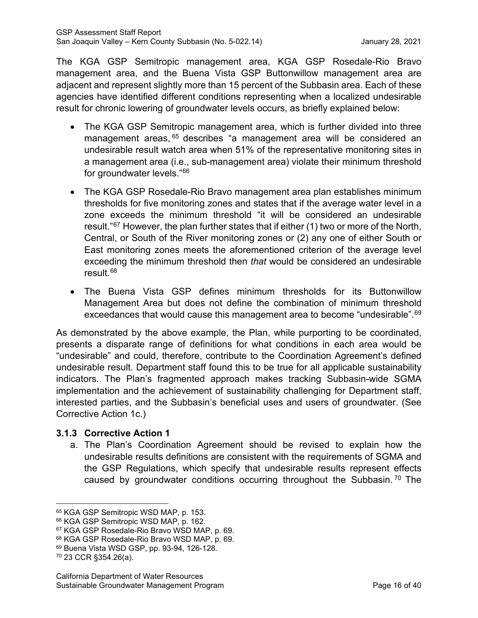The KGA GSP Semitropic management area, KGA GSP Rosedale-Rio Bravo management area, and the Buena Vista GSP Buttonwillow management area are adjacent and represent slightly more than 15 percent of the Subbasin area. Each of these agencies have identified different conditions representing when a localized undesirable result for chronic lowering of groundwater levels occurs, as briefly explained below:

- The KGA GSP Semitropic management area, which is further divided into three management areas, <sup>[65](#page-20-0)</sup> describes "a management area will be considered an undesirable result watch area when 51% of the representative monitoring sites in a management area (i.e., sub-management area) violate their minimum threshold for groundwater levels."[66](#page-20-1)
- The KGA GSP Rosedale-Rio Bravo management area plan establishes minimum thresholds for five monitoring zones and states that if the average water level in a zone exceeds the minimum threshold "it will be considered an undesirable result."<sup>[67](#page-20-2)</sup> However, the plan further states that if either (1) two or more of the North, Central, or South of the River monitoring zones or (2) any one of either South or East monitoring zones meets the aforementioned criterion of the average level exceeding the minimum threshold then *that* would be considered an undesirable result. [68](#page-20-3)
- The Buena Vista GSP defines minimum thresholds for its Buttonwillow Management Area but does not define the combination of minimum threshold exceedances that would cause this management area to become "undesirable". [69](#page-20-4)

As demonstrated by the above example, the Plan, while purporting to be coordinated, presents a disparate range of definitions for what conditions in each area would be "undesirable" and could, therefore, contribute to the Coordination Agreement's defined undesirable result. Department staff found this to be true for all applicable sustainability indicators. The Plan's fragmented approach makes tracking Subbasin-wide SGMA implementation and the achievement of sustainability challenging for Department staff, interested parties, and the Subbasin's beneficial uses and users of groundwater. (See Corrective Action 1c.)

# **3.1.3 Corrective Action 1**

a. The Plan's Coordination Agreement should be revised to explain how the undesirable results definitions are consistent with the requirements of SGMA and the GSP Regulations, which specify that undesirable results represent effects caused by groundwater conditions occurring throughout the Subbasin.<sup>[70](#page-20-5)</sup> The

<span id="page-20-0"></span><sup>&</sup>lt;sup>65</sup> KGA GSP Semitropic WSD MAP, p. 153.

<span id="page-20-1"></span><sup>66</sup> KGA GSP Semitropic WSD MAP, p. 162.

<span id="page-20-2"></span><sup>67</sup> KGA GSP Rosedale-Rio Bravo WSD MAP, p. 69.

<span id="page-20-3"></span><sup>68</sup> KGA GSP Rosedale-Rio Bravo WSD MAP, p. 69.

<span id="page-20-4"></span><sup>69</sup> Buena Vista WSD GSP, pp. 93-94, 126-128.

<span id="page-20-5"></span><sup>70</sup> 23 CCR §354.26(a).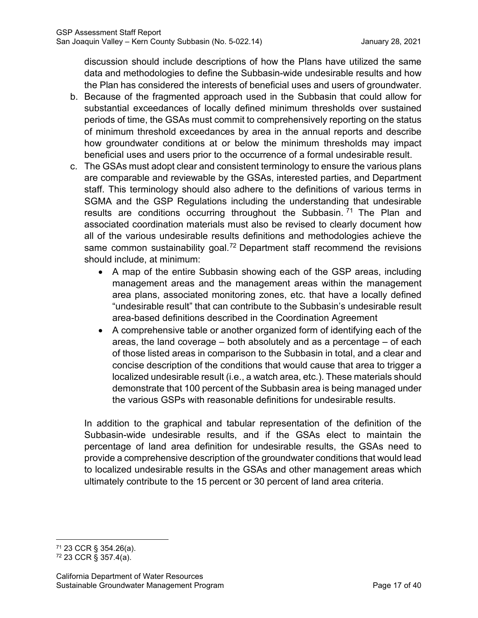discussion should include descriptions of how the Plans have utilized the same data and methodologies to define the Subbasin-wide undesirable results and how the Plan has considered the interests of beneficial uses and users of groundwater.

- b. Because of the fragmented approach used in the Subbasin that could allow for substantial exceedances of locally defined minimum thresholds over sustained periods of time, the GSAs must commit to comprehensively reporting on the status of minimum threshold exceedances by area in the annual reports and describe how groundwater conditions at or below the minimum thresholds may impact beneficial uses and users prior to the occurrence of a formal undesirable result.
- c. The GSAs must adopt clear and consistent terminology to ensure the various plans are comparable and reviewable by the GSAs, interested parties, and Department staff. This terminology should also adhere to the definitions of various terms in SGMA and the GSP Regulations including the understanding that undesirable results are conditions occurring throughout the Subbasin.<sup>[71](#page-21-0)</sup> The Plan and associated coordination materials must also be revised to clearly document how all of the various undesirable results definitions and methodologies achieve the same common sustainability goal.<sup>[72](#page-21-1)</sup> Department staff recommend the revisions should include, at minimum:
	- A map of the entire Subbasin showing each of the GSP areas, including management areas and the management areas within the management area plans, associated monitoring zones, etc. that have a locally defined "undesirable result" that can contribute to the Subbasin's undesirable result area-based definitions described in the Coordination Agreement
	- A comprehensive table or another organized form of identifying each of the areas, the land coverage – both absolutely and as a percentage – of each of those listed areas in comparison to the Subbasin in total, and a clear and concise description of the conditions that would cause that area to trigger a localized undesirable result (i.e., a watch area, etc.). These materials should demonstrate that 100 percent of the Subbasin area is being managed under the various GSPs with reasonable definitions for undesirable results.

In addition to the graphical and tabular representation of the definition of the Subbasin-wide undesirable results, and if the GSAs elect to maintain the percentage of land area definition for undesirable results, the GSAs need to provide a comprehensive description of the groundwater conditions that would lead to localized undesirable results in the GSAs and other management areas which ultimately contribute to the 15 percent or 30 percent of land area criteria.

<span id="page-21-0"></span><sup>71</sup> 23 CCR § 354.26(a).

<span id="page-21-1"></span><sup>72</sup> 23 CCR § 357.4(a).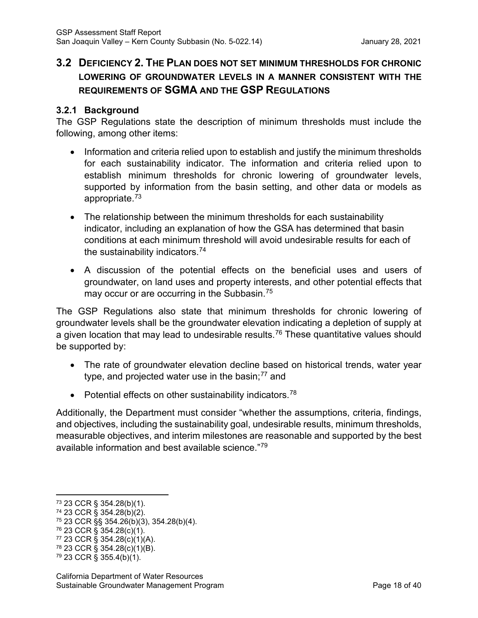# **3.2 DEFICIENCY 2. THE PLAN DOES NOT SET MINIMUM THRESHOLDS FOR CHRONIC LOWERING OF GROUNDWATER LEVELS IN A MANNER CONSISTENT WITH THE REQUIREMENTS OF SGMA AND THE GSP REGULATIONS**

# **3.2.1 Background**

The GSP Regulations state the description of minimum thresholds must include the following, among other items:

- Information and criteria relied upon to establish and justify the minimum thresholds for each sustainability indicator. The information and criteria relied upon to establish minimum thresholds for chronic lowering of groundwater levels, supported by information from the basin setting, and other data or models as appropriate.[73](#page-22-0)
- The relationship between the minimum thresholds for each sustainability indicator, including an explanation of how the GSA has determined that basin conditions at each minimum threshold will avoid undesirable results for each of the sustainability indicators.[74](#page-22-1)
- A discussion of the potential effects on the beneficial uses and users of groundwater, on land uses and property interests, and other potential effects that may occur or are occurring in the Subbasin.<sup>[75](#page-22-2)</sup>

The GSP Regulations also state that minimum thresholds for chronic lowering of groundwater levels shall be the groundwater elevation indicating a depletion of supply at a given location that may lead to undesirable results.<sup>[76](#page-22-3)</sup> These quantitative values should be supported by:

- The rate of groundwater elevation decline based on historical trends, water year type, and projected water use in the basin; $77$  and
- Potential effects on other sustainability indicators.<sup>[78](#page-22-5)</sup>

Additionally, the Department must consider "whether the assumptions, criteria, findings, and objectives, including the sustainability goal, undesirable results, minimum thresholds, measurable objectives, and interim milestones are reasonable and supported by the best available information and best available science."[79](#page-22-6)

<span id="page-22-3"></span><sup>76</sup> 23 CCR § 354.28(c)(1).

<span id="page-22-0"></span><sup>73</sup> 23 CCR § 354.28(b)(1).

<span id="page-22-1"></span><sup>74</sup> 23 CCR § 354.28(b)(2).

<span id="page-22-2"></span><sup>75</sup> 23 CCR §§ 354.26(b)(3), 354.28(b)(4).

<span id="page-22-4"></span> $77$  23 CCR § 354.28(c)(1)(A).

<span id="page-22-5"></span><sup>78</sup> 23 CCR § 354.28(c)(1)(B).

<span id="page-22-6"></span><sup>79</sup> 23 CCR § 355.4(b)(1).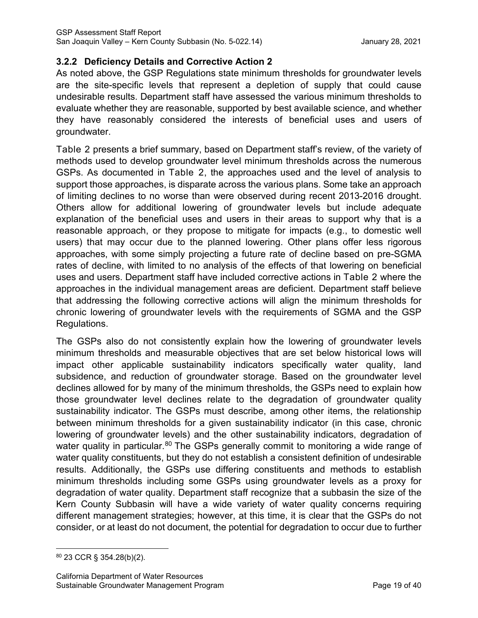# **3.2.2 Deficiency Details and Corrective Action 2**

As noted above, the GSP Regulations state minimum thresholds for groundwater levels are the site-specific levels that represent a depletion of supply that could cause undesirable results. Department staff have assessed the various minimum thresholds to evaluate whether they are reasonable, supported by best available science, and whether they have reasonably considered the interests of beneficial uses and users of groundwater.

[Table 2](#page-24-0) presents a brief summary, based on Department staff's review, of the variety of methods used to develop groundwater level minimum thresholds across the numerous GSPs. As documented in [Table 2,](#page-24-0) the approaches used and the level of analysis to support those approaches, is disparate across the various plans. Some take an approach of limiting declines to no worse than were observed during recent 2013-2016 drought. Others allow for additional lowering of groundwater levels but include adequate explanation of the beneficial uses and users in their areas to support why that is a reasonable approach, or they propose to mitigate for impacts (e.g., to domestic well users) that may occur due to the planned lowering. Other plans offer less rigorous approaches, with some simply projecting a future rate of decline based on pre-SGMA rates of decline, with limited to no analysis of the effects of that lowering on beneficial uses and users. Department staff have included corrective actions in [Table 2](#page-24-0) where the approaches in the individual management areas are deficient. Department staff believe that addressing the following corrective actions will align the minimum thresholds for chronic lowering of groundwater levels with the requirements of SGMA and the GSP Regulations.

The GSPs also do not consistently explain how the lowering of groundwater levels minimum thresholds and measurable objectives that are set below historical lows will impact other applicable sustainability indicators specifically water quality, land subsidence, and reduction of groundwater storage. Based on the groundwater level declines allowed for by many of the minimum thresholds, the GSPs need to explain how those groundwater level declines relate to the degradation of groundwater quality sustainability indicator. The GSPs must describe, among other items, the relationship between minimum thresholds for a given sustainability indicator (in this case, chronic lowering of groundwater levels) and the other sustainability indicators, degradation of water quality in particular.<sup>[80](#page-23-0)</sup> The GSPs generally commit to monitoring a wide range of water quality constituents, but they do not establish a consistent definition of undesirable results. Additionally, the GSPs use differing constituents and methods to establish minimum thresholds including some GSPs using groundwater levels as a proxy for degradation of water quality. Department staff recognize that a subbasin the size of the Kern County Subbasin will have a wide variety of water quality concerns requiring different management strategies; however, at this time, it is clear that the GSPs do not consider, or at least do not document, the potential for degradation to occur due to further

<span id="page-23-0"></span><sup>80</sup> 23 CCR § 354.28(b)(2).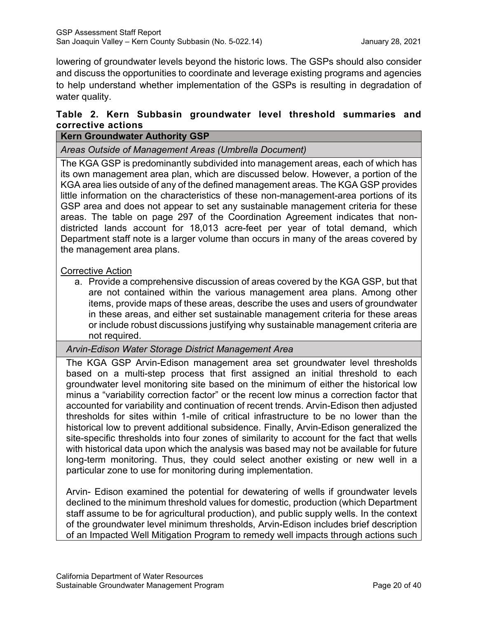lowering of groundwater levels beyond the historic lows. The GSPs should also consider and discuss the opportunities to coordinate and leverage existing programs and agencies to help understand whether implementation of the GSPs is resulting in degradation of water quality.

# <span id="page-24-0"></span>**Table 2. Kern Subbasin groundwater level threshold summaries and corrective actions**

# **Kern Groundwater Authority GSP**

*Areas Outside of Management Areas (Umbrella Document)*

The KGA GSP is predominantly subdivided into management areas, each of which has its own management area plan, which are discussed below. However, a portion of the KGA area lies outside of any of the defined management areas. The KGA GSP provides little information on the characteristics of these non-management-area portions of its GSP area and does not appear to set any sustainable management criteria for these areas. The table on page 297 of the Coordination Agreement indicates that nondistricted lands account for 18,013 acre-feet per year of total demand, which Department staff note is a larger volume than occurs in many of the areas covered by the management area plans.

#### Corrective Action

a. Provide a comprehensive discussion of areas covered by the KGA GSP, but that are not contained within the various management area plans. Among other items, provide maps of these areas, describe the uses and users of groundwater in these areas, and either set sustainable management criteria for these areas or include robust discussions justifying why sustainable management criteria are not required.

# *Arvin-Edison Water Storage District Management Area*

The KGA GSP Arvin-Edison management area set groundwater level thresholds based on a multi-step process that first assigned an initial threshold to each groundwater level monitoring site based on the minimum of either the historical low minus a "variability correction factor" or the recent low minus a correction factor that accounted for variability and continuation of recent trends. Arvin-Edison then adjusted thresholds for sites within 1-mile of critical infrastructure to be no lower than the historical low to prevent additional subsidence. Finally, Arvin-Edison generalized the site-specific thresholds into four zones of similarity to account for the fact that wells with historical data upon which the analysis was based may not be available for future long-term monitoring. Thus, they could select another existing or new well in a particular zone to use for monitoring during implementation.

Arvin- Edison examined the potential for dewatering of wells if groundwater levels declined to the minimum threshold values for domestic, production (which Department staff assume to be for agricultural production), and public supply wells. In the context of the groundwater level minimum thresholds, Arvin-Edison includes brief description of an Impacted Well Mitigation Program to remedy well impacts through actions such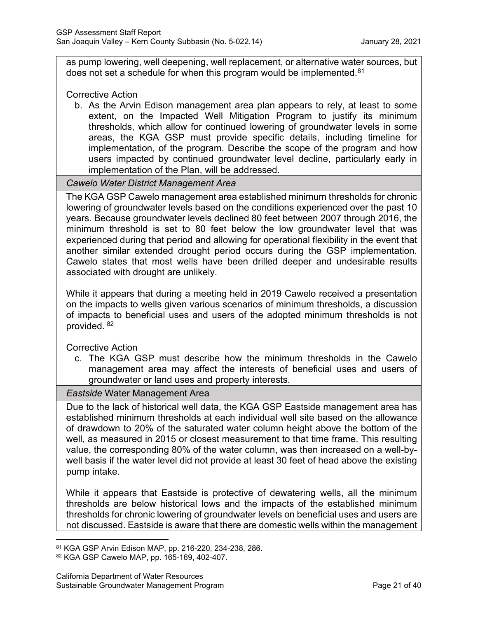as pump lowering, well deepening, well replacement, or alternative water sources, but does not set a schedule for when this program would be implemented.<sup>[81](#page-25-0)</sup>

Corrective Action

b. As the Arvin Edison management area plan appears to rely, at least to some extent, on the Impacted Well Mitigation Program to justify its minimum thresholds, which allow for continued lowering of groundwater levels in some areas, the KGA GSP must provide specific details, including timeline for implementation, of the program. Describe the scope of the program and how users impacted by continued groundwater level decline, particularly early in implementation of the Plan, will be addressed.

#### *Cawelo Water District Management Area*

The KGA GSP Cawelo management area established minimum thresholds for chronic lowering of groundwater levels based on the conditions experienced over the past 10 years. Because groundwater levels declined 80 feet between 2007 through 2016, the minimum threshold is set to 80 feet below the low groundwater level that was experienced during that period and allowing for operational flexibility in the event that another similar extended drought period occurs during the GSP implementation. Cawelo states that most wells have been drilled deeper and undesirable results associated with drought are unlikely.

While it appears that during a meeting held in 2019 Cawelo received a presentation on the impacts to wells given various scenarios of minimum thresholds, a discussion of impacts to beneficial uses and users of the adopted minimum thresholds is not provided. [82](#page-25-1)

Corrective Action

c. The KGA GSP must describe how the minimum thresholds in the Cawelo management area may affect the interests of beneficial uses and users of groundwater or land uses and property interests.

*Eastside* Water Management Area

Due to the lack of historical well data, the KGA GSP Eastside management area has established minimum thresholds at each individual well site based on the allowance of drawdown to 20% of the saturated water column height above the bottom of the well, as measured in 2015 or closest measurement to that time frame. This resulting value, the corresponding 80% of the water column, was then increased on a well-bywell basis if the water level did not provide at least 30 feet of head above the existing pump intake.

While it appears that Eastside is protective of dewatering wells, all the minimum thresholds are below historical lows and the impacts of the established minimum thresholds for chronic lowering of groundwater levels on beneficial uses and users are not discussed. Eastside is aware that there are domestic wells within the management

<span id="page-25-0"></span><sup>81</sup> KGA GSP Arvin Edison MAP, pp. 216-220, 234-238, 286.

<span id="page-25-1"></span><sup>82</sup> KGA GSP Cawelo MAP, pp. 165-169, 402-407.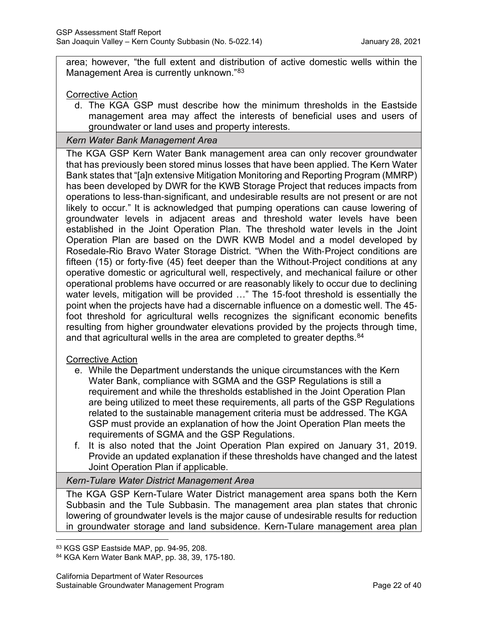area; however, "the full extent and distribution of active domestic wells within the Management Area is currently unknown."<sup>[83](#page-26-0)</sup>

#### Corrective Action

d. The KGA GSP must describe how the minimum thresholds in the Eastside management area may affect the interests of beneficial uses and users of groundwater or land uses and property interests.

#### *Kern Water Bank Management Area*

The KGA GSP Kern Water Bank management area can only recover groundwater that has previously been stored minus losses that have been applied. The Kern Water Bank states that "[a]n extensive Mitigation Monitoring and Reporting Program (MMRP) has been developed by DWR for the KWB Storage Project that reduces impacts from operations to less‐than‐significant, and undesirable results are not present or are not likely to occur." It is acknowledged that pumping operations can cause lowering of groundwater levels in adjacent areas and threshold water levels have been established in the Joint Operation Plan. The threshold water levels in the Joint Operation Plan are based on the DWR KWB Model and a model developed by Rosedale-Rio Bravo Water Storage District. "When the With‐Project conditions are fifteen (15) or forty-five (45) feet deeper than the Without-Project conditions at any operative domestic or agricultural well, respectively, and mechanical failure or other operational problems have occurred or are reasonably likely to occur due to declining water levels, mitigation will be provided ..." The 15-foot threshold is essentially the point when the projects have had a discernable influence on a domestic well. The 45‐ foot threshold for agricultural wells recognizes the significant economic benefits resulting from higher groundwater elevations provided by the projects through time, and that agricultural wells in the area are completed to greater depths.<sup>84</sup>

#### Corrective Action

- e. While the Department understands the unique circumstances with the Kern Water Bank, compliance with SGMA and the GSP Regulations is still a requirement and while the thresholds established in the Joint Operation Plan are being utilized to meet these requirements, all parts of the GSP Regulations related to the sustainable management criteria must be addressed. The KGA GSP must provide an explanation of how the Joint Operation Plan meets the requirements of SGMA and the GSP Regulations.
- f. It is also noted that the Joint Operation Plan expired on January 31, 2019. Provide an updated explanation if these thresholds have changed and the latest Joint Operation Plan if applicable.

#### *Kern-Tulare Water District Management Area*

The KGA GSP Kern-Tulare Water District management area spans both the Kern Subbasin and the Tule Subbasin. The management area plan states that chronic lowering of groundwater levels is the major cause of undesirable results for reduction in groundwater storage and land subsidence. Kern-Tulare management area plan

<span id="page-26-0"></span><sup>83</sup> KGS GSP Eastside MAP, pp. 94-95, 208.

<span id="page-26-1"></span><sup>84</sup> KGA Kern Water Bank MAP, pp. 38, 39, 175-180.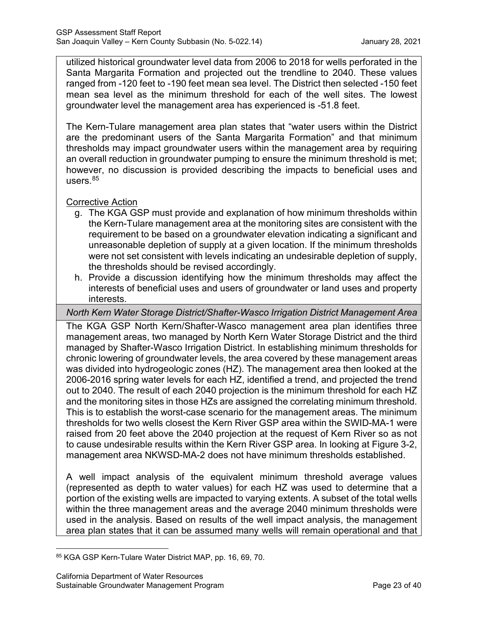utilized historical groundwater level data from 2006 to 2018 for wells perforated in the Santa Margarita Formation and projected out the trendline to 2040. These values ranged from -120 feet to -190 feet mean sea level. The District then selected -150 feet mean sea level as the minimum threshold for each of the well sites. The lowest groundwater level the management area has experienced is -51.8 feet.

The Kern-Tulare management area plan states that "water users within the District are the predominant users of the Santa Margarita Formation" and that minimum thresholds may impact groundwater users within the management area by requiring an overall reduction in groundwater pumping to ensure the minimum threshold is met; however, no discussion is provided describing the impacts to beneficial uses and users. $85$ 

# Corrective Action

- g. The KGA GSP must provide and explanation of how minimum thresholds within the Kern-Tulare management area at the monitoring sites are consistent with the requirement to be based on a groundwater elevation indicating a significant and unreasonable depletion of supply at a given location. If the minimum thresholds were not set consistent with levels indicating an undesirable depletion of supply, the thresholds should be revised accordingly.
- h. Provide a discussion identifying how the minimum thresholds may affect the interests of beneficial uses and users of groundwater or land uses and property interests.

*North Kern Water Storage District/Shafter-Wasco Irrigation District Management Area*

The KGA GSP North Kern/Shafter-Wasco management area plan identifies three management areas, two managed by North Kern Water Storage District and the third managed by Shafter-Wasco Irrigation District. In establishing minimum thresholds for chronic lowering of groundwater levels, the area covered by these management areas was divided into hydrogeologic zones (HZ). The management area then looked at the 2006-2016 spring water levels for each HZ, identified a trend, and projected the trend out to 2040. The result of each 2040 projection is the minimum threshold for each HZ and the monitoring sites in those HZs are assigned the correlating minimum threshold. This is to establish the worst-case scenario for the management areas. The minimum thresholds for two wells closest the Kern River GSP area within the SWID-MA-1 were raised from 20 feet above the 2040 projection at the request of Kern River so as not to cause undesirable results within the Kern River GSP area. In looking at Figure 3-2, management area NKWSD-MA-2 does not have minimum thresholds established.

A well impact analysis of the equivalent minimum threshold average values (represented as depth to water values) for each HZ was used to determine that a portion of the existing wells are impacted to varying extents. A subset of the total wells within the three management areas and the average 2040 minimum thresholds were used in the analysis. Based on results of the well impact analysis, the management area plan states that it can be assumed many wells will remain operational and that

<span id="page-27-0"></span><sup>85</sup> KGA GSP Kern-Tulare Water District MAP, pp. 16, 69, 70.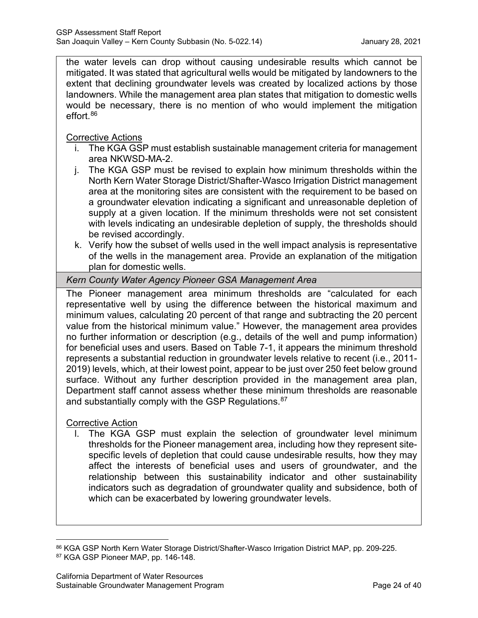the water levels can drop without causing undesirable results which cannot be mitigated. It was stated that agricultural wells would be mitigated by landowners to the extent that declining groundwater levels was created by localized actions by those landowners. While the management area plan states that mitigation to domestic wells would be necessary, there is no mention of who would implement the mitigation effort. [86](#page-28-0)

Corrective Actions

- i. The KGA GSP must establish sustainable management criteria for management area NKWSD-MA-2.
- j. The KGA GSP must be revised to explain how minimum thresholds within the North Kern Water Storage District/Shafter-Wasco Irrigation District management area at the monitoring sites are consistent with the requirement to be based on a groundwater elevation indicating a significant and unreasonable depletion of supply at a given location. If the minimum thresholds were not set consistent with levels indicating an undesirable depletion of supply, the thresholds should be revised accordingly.
- k. Verify how the subset of wells used in the well impact analysis is representative of the wells in the management area. Provide an explanation of the mitigation plan for domestic wells.

# *Kern County Water Agency Pioneer GSA Management Area*

The Pioneer management area minimum thresholds are "calculated for each representative well by using the difference between the historical maximum and minimum values, calculating 20 percent of that range and subtracting the 20 percent value from the historical minimum value." However, the management area provides no further information or description (e.g., details of the well and pump information) for beneficial uses and users. Based on Table 7-1, it appears the minimum threshold represents a substantial reduction in groundwater levels relative to recent (i.e., 2011- 2019) levels, which, at their lowest point, appear to be just over 250 feet below ground surface. Without any further description provided in the management area plan, Department staff cannot assess whether these minimum thresholds are reasonable and substantially comply with the GSP Regulations.<sup>[87](#page-28-1)</sup>

#### Corrective Action

l. The KGA GSP must explain the selection of groundwater level minimum thresholds for the Pioneer management area, including how they represent sitespecific levels of depletion that could cause undesirable results, how they may affect the interests of beneficial uses and users of groundwater, and the relationship between this sustainability indicator and other sustainability indicators such as degradation of groundwater quality and subsidence, both of which can be exacerbated by lowering groundwater levels.

<span id="page-28-1"></span><span id="page-28-0"></span><sup>86</sup> KGA GSP North Kern Water Storage District/Shafter-Wasco Irrigation District MAP, pp. 209-225. 87 KGA GSP Pioneer MAP, pp. 146-148.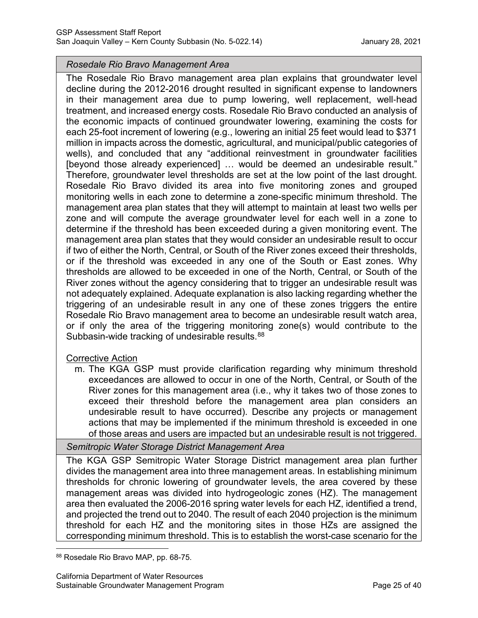#### *Rosedale Rio Bravo Management Area*

The Rosedale Rio Bravo management area plan explains that groundwater level decline during the 2012-2016 drought resulted in significant expense to landowners in their management area due to pump lowering, well replacement, well‐head treatment, and increased energy costs. Rosedale Rio Bravo conducted an analysis of the economic impacts of continued groundwater lowering, examining the costs for each 25-foot increment of lowering (e.g., lowering an initial 25 feet would lead to \$371 million in impacts across the domestic, agricultural, and municipal/public categories of wells), and concluded that any "additional reinvestment in groundwater facilities [beyond those already experienced] ... would be deemed an undesirable result." Therefore, groundwater level thresholds are set at the low point of the last drought. Rosedale Rio Bravo divided its area into five monitoring zones and grouped monitoring wells in each zone to determine a zone-specific minimum threshold. The management area plan states that they will attempt to maintain at least two wells per zone and will compute the average groundwater level for each well in a zone to determine if the threshold has been exceeded during a given monitoring event. The management area plan states that they would consider an undesirable result to occur if two of either the North, Central, or South of the River zones exceed their thresholds, or if the threshold was exceeded in any one of the South or East zones. Why thresholds are allowed to be exceeded in one of the North, Central, or South of the River zones without the agency considering that to trigger an undesirable result was not adequately explained. Adequate explanation is also lacking regarding whether the triggering of an undesirable result in any one of these zones triggers the entire Rosedale Rio Bravo management area to become an undesirable result watch area, or if only the area of the triggering monitoring zone(s) would contribute to the Subbasin-wide tracking of undesirable results.<sup>[88](#page-29-0)</sup>

#### Corrective Action

m. The KGA GSP must provide clarification regarding why minimum threshold exceedances are allowed to occur in one of the North, Central, or South of the River zones for this management area (i.e., why it takes two of those zones to exceed their threshold before the management area plan considers an undesirable result to have occurred). Describe any projects or management actions that may be implemented if the minimum threshold is exceeded in one of those areas and users are impacted but an undesirable result is not triggered.

*Semitropic Water Storage District Management Area*

The KGA GSP Semitropic Water Storage District management area plan further divides the management area into three management areas. In establishing minimum thresholds for chronic lowering of groundwater levels, the area covered by these management areas was divided into hydrogeologic zones (HZ). The management area then evaluated the 2006-2016 spring water levels for each HZ, identified a trend, and projected the trend out to 2040. The result of each 2040 projection is the minimum threshold for each HZ and the monitoring sites in those HZs are assigned the corresponding minimum threshold. This is to establish the worst-case scenario for the

<span id="page-29-0"></span><sup>88</sup> Rosedale Rio Bravo MAP, pp. 68-75.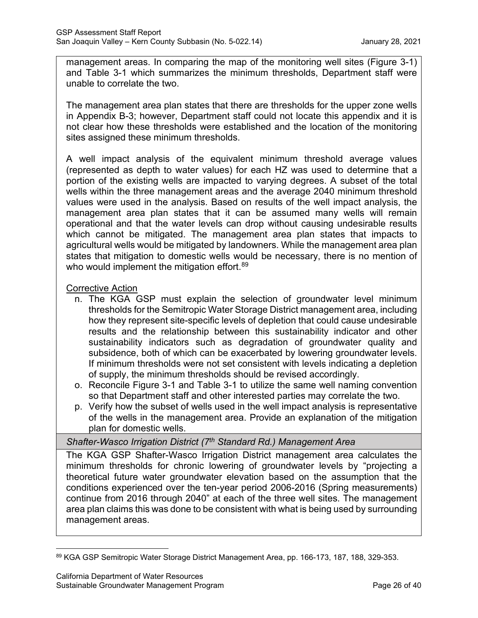management areas. In comparing the map of the monitoring well sites (Figure 3-1) and Table 3-1 which summarizes the minimum thresholds, Department staff were unable to correlate the two.

The management area plan states that there are thresholds for the upper zone wells in Appendix B-3; however, Department staff could not locate this appendix and it is not clear how these thresholds were established and the location of the monitoring sites assigned these minimum thresholds.

A well impact analysis of the equivalent minimum threshold average values (represented as depth to water values) for each HZ was used to determine that a portion of the existing wells are impacted to varying degrees. A subset of the total wells within the three management areas and the average 2040 minimum threshold values were used in the analysis. Based on results of the well impact analysis, the management area plan states that it can be assumed many wells will remain operational and that the water levels can drop without causing undesirable results which cannot be mitigated. The management area plan states that impacts to agricultural wells would be mitigated by landowners. While the management area plan states that mitigation to domestic wells would be necessary, there is no mention of who would implement the mitigation effort. [89](#page-30-0)

#### Corrective Action

- n. The KGA GSP must explain the selection of groundwater level minimum thresholds for the Semitropic Water Storage District management area, including how they represent site-specific levels of depletion that could cause undesirable results and the relationship between this sustainability indicator and other sustainability indicators such as degradation of groundwater quality and subsidence, both of which can be exacerbated by lowering groundwater levels. If minimum thresholds were not set consistent with levels indicating a depletion of supply, the minimum thresholds should be revised accordingly.
- o. Reconcile Figure 3-1 and Table 3-1 to utilize the same well naming convention so that Department staff and other interested parties may correlate the two.
- p. Verify how the subset of wells used in the well impact analysis is representative of the wells in the management area. Provide an explanation of the mitigation plan for domestic wells.

#### *Shafter-Wasco Irrigation District (7th Standard Rd.) Management Area*

The KGA GSP Shafter-Wasco Irrigation District management area calculates the minimum thresholds for chronic lowering of groundwater levels by "projecting a theoretical future water groundwater elevation based on the assumption that the conditions experienced over the ten-year period 2006-2016 (Spring measurements) continue from 2016 through 2040" at each of the three well sites. The management area plan claims this was done to be consistent with what is being used by surrounding management areas.

<span id="page-30-0"></span><sup>89</sup> KGA GSP Semitropic Water Storage District Management Area, pp. 166-173, 187, 188, 329-353.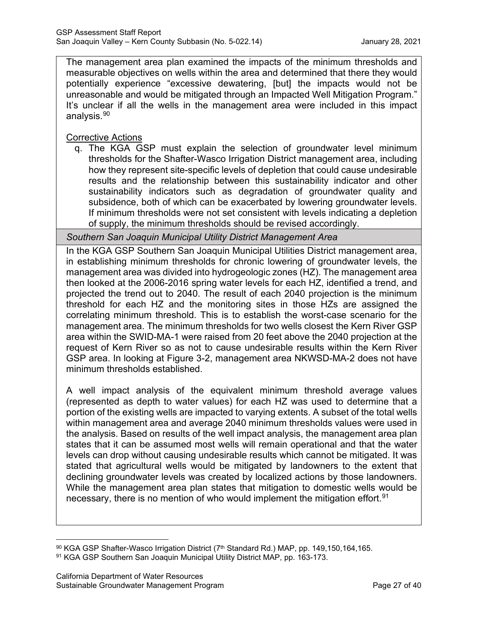The management area plan examined the impacts of the minimum thresholds and measurable objectives on wells within the area and determined that there they would potentially experience "excessive dewatering, [but] the impacts would not be unreasonable and would be mitigated through an Impacted Well Mitigation Program." It's unclear if all the wells in the management area were included in this impact analysis.[90](#page-31-0)

Corrective Actions

q. The KGA GSP must explain the selection of groundwater level minimum thresholds for the Shafter-Wasco Irrigation District management area, including how they represent site-specific levels of depletion that could cause undesirable results and the relationship between this sustainability indicator and other sustainability indicators such as degradation of groundwater quality and subsidence, both of which can be exacerbated by lowering groundwater levels. If minimum thresholds were not set consistent with levels indicating a depletion of supply, the minimum thresholds should be revised accordingly.

*Southern San Joaquin Municipal Utility District Management Area*

In the KGA GSP Southern San Joaquin Municipal Utilities District management area, in establishing minimum thresholds for chronic lowering of groundwater levels, the management area was divided into hydrogeologic zones (HZ). The management area then looked at the 2006-2016 spring water levels for each HZ, identified a trend, and projected the trend out to 2040. The result of each 2040 projection is the minimum threshold for each HZ and the monitoring sites in those HZs are assigned the correlating minimum threshold. This is to establish the worst-case scenario for the management area. The minimum thresholds for two wells closest the Kern River GSP area within the SWID-MA-1 were raised from 20 feet above the 2040 projection at the request of Kern River so as not to cause undesirable results within the Kern River GSP area. In looking at Figure 3-2, management area NKWSD-MA-2 does not have minimum thresholds established.

A well impact analysis of the equivalent minimum threshold average values (represented as depth to water values) for each HZ was used to determine that a portion of the existing wells are impacted to varying extents. A subset of the total wells within management area and average 2040 minimum thresholds values were used in the analysis. Based on results of the well impact analysis, the management area plan states that it can be assumed most wells will remain operational and that the water levels can drop without causing undesirable results which cannot be mitigated. It was stated that agricultural wells would be mitigated by landowners to the extent that declining groundwater levels was created by localized actions by those landowners. While the management area plan states that mitigation to domestic wells would be necessary, there is no mention of who would implement the mitigation effort.<sup>[91](#page-31-1)</sup>

<span id="page-31-0"></span><sup>90</sup> KGA GSP Shafter-Wasco Irrigation District (7th Standard Rd.) MAP, pp. 149,150,164,165.

<span id="page-31-1"></span><sup>91</sup> KGA GSP Southern San Joaquin Municipal Utility District MAP, pp. 163-173.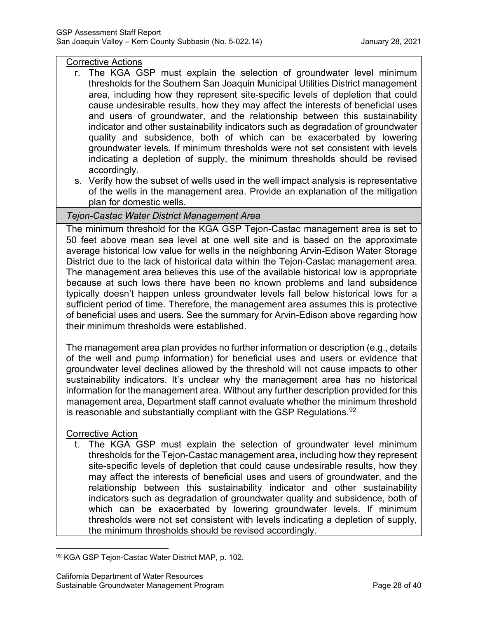#### Corrective Actions

- r. The KGA GSP must explain the selection of groundwater level minimum thresholds for the Southern San Joaquin Municipal Utilities District management area, including how they represent site-specific levels of depletion that could cause undesirable results, how they may affect the interests of beneficial uses and users of groundwater, and the relationship between this sustainability indicator and other sustainability indicators such as degradation of groundwater quality and subsidence, both of which can be exacerbated by lowering groundwater levels. If minimum thresholds were not set consistent with levels indicating a depletion of supply, the minimum thresholds should be revised accordingly.
- s. Verify how the subset of wells used in the well impact analysis is representative of the wells in the management area. Provide an explanation of the mitigation plan for domestic wells.

# *Tejon-Castac Water District Management Area*

The minimum threshold for the KGA GSP Tejon-Castac management area is set to 50 feet above mean sea level at one well site and is based on the approximate average historical low value for wells in the neighboring Arvin-Edison Water Storage District due to the lack of historical data within the Tejon-Castac management area. The management area believes this use of the available historical low is appropriate because at such lows there have been no known problems and land subsidence typically doesn't happen unless groundwater levels fall below historical lows for a sufficient period of time. Therefore, the management area assumes this is protective of beneficial uses and users. See the summary for Arvin-Edison above regarding how their minimum thresholds were established.

The management area plan provides no further information or description (e.g., details of the well and pump information) for beneficial uses and users or evidence that groundwater level declines allowed by the threshold will not cause impacts to other sustainability indicators. It's unclear why the management area has no historical information for the management area. Without any further description provided for this management area, Department staff cannot evaluate whether the minimum threshold is reasonable and substantially compliant with the GSP Regulations.  $92$ 

# Corrective Action

t. The KGA GSP must explain the selection of groundwater level minimum thresholds for the Tejon-Castac management area, including how they represent site-specific levels of depletion that could cause undesirable results, how they may affect the interests of beneficial uses and users of groundwater, and the relationship between this sustainability indicator and other sustainability indicators such as degradation of groundwater quality and subsidence, both of which can be exacerbated by lowering groundwater levels. If minimum thresholds were not set consistent with levels indicating a depletion of supply, the minimum thresholds should be revised accordingly.

<span id="page-32-0"></span><sup>92</sup> KGA GSP Tejon-Castac Water District MAP, p. 102.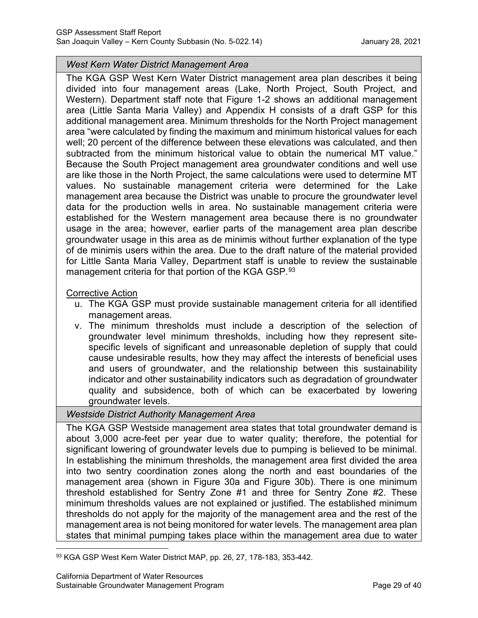#### *West Kern Water District Management Area*

The KGA GSP West Kern Water District management area plan describes it being divided into four management areas (Lake, North Project, South Project, and Western). Department staff note that Figure 1-2 shows an additional management area (Little Santa Maria Valley) and Appendix H consists of a draft GSP for this additional management area. Minimum thresholds for the North Project management area "were calculated by finding the maximum and minimum historical values for each well; 20 percent of the difference between these elevations was calculated, and then subtracted from the minimum historical value to obtain the numerical MT value." Because the South Project management area groundwater conditions and well use are like those in the North Project, the same calculations were used to determine MT values. No sustainable management criteria were determined for the Lake management area because the District was unable to procure the groundwater level data for the production wells in area. No sustainable management criteria were established for the Western management area because there is no groundwater usage in the area; however, earlier parts of the management area plan describe groundwater usage in this area as de minimis without further explanation of the type of de minimis users within the area. Due to the draft nature of the material provided for Little Santa Maria Valley, Department staff is unable to review the sustainable management criteria for that portion of the KGA GSP.<sup>[93](#page-33-0)</sup>

#### Corrective Action

- u. The KGA GSP must provide sustainable management criteria for all identified management areas.
- v. The minimum thresholds must include a description of the selection of groundwater level minimum thresholds, including how they represent sitespecific levels of significant and unreasonable depletion of supply that could cause undesirable results, how they may affect the interests of beneficial uses and users of groundwater, and the relationship between this sustainability indicator and other sustainability indicators such as degradation of groundwater quality and subsidence, both of which can be exacerbated by lowering groundwater levels.

# *Westside District Authority Management Area*

The KGA GSP Westside management area states that total groundwater demand is about 3,000 acre-feet per year due to water quality; therefore, the potential for significant lowering of groundwater levels due to pumping is believed to be minimal. In establishing the minimum thresholds, the management area first divided the area into two sentry coordination zones along the north and east boundaries of the management area (shown in Figure 30a and Figure 30b). There is one minimum threshold established for Sentry Zone #1 and three for Sentry Zone #2. These minimum thresholds values are not explained or justified. The established minimum thresholds do not apply for the majority of the management area and the rest of the management area is not being monitored for water levels. The management area plan states that minimal pumping takes place within the management area due to water

<span id="page-33-0"></span><sup>93</sup> KGA GSP West Kern Water District MAP, pp. 26, 27, 178-183, 353-442.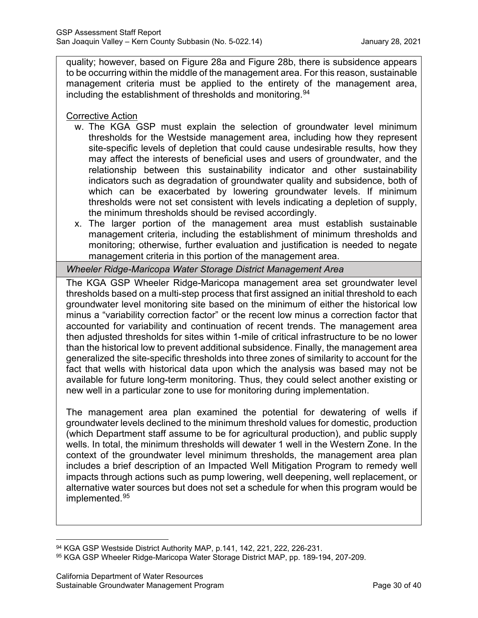quality; however, based on Figure 28a and Figure 28b, there is subsidence appears to be occurring within the middle of the management area. For this reason, sustainable management criteria must be applied to the entirety of the management area, including the establishment of thresholds and monitoring. $^{94}$  $^{94}$  $^{94}$ 

Corrective Action

- w. The KGA GSP must explain the selection of groundwater level minimum thresholds for the Westside management area, including how they represent site-specific levels of depletion that could cause undesirable results, how they may affect the interests of beneficial uses and users of groundwater, and the relationship between this sustainability indicator and other sustainability indicators such as degradation of groundwater quality and subsidence, both of which can be exacerbated by lowering groundwater levels. If minimum thresholds were not set consistent with levels indicating a depletion of supply, the minimum thresholds should be revised accordingly.
- x. The larger portion of the management area must establish sustainable management criteria, including the establishment of minimum thresholds and monitoring; otherwise, further evaluation and justification is needed to negate management criteria in this portion of the management area.

*Wheeler Ridge-Maricopa Water Storage District Management Area*

The KGA GSP Wheeler Ridge-Maricopa management area set groundwater level thresholds based on a multi-step process that first assigned an initial threshold to each groundwater level monitoring site based on the minimum of either the historical low minus a "variability correction factor" or the recent low minus a correction factor that accounted for variability and continuation of recent trends. The management area then adjusted thresholds for sites within 1-mile of critical infrastructure to be no lower than the historical low to prevent additional subsidence. Finally, the management area generalized the site-specific thresholds into three zones of similarity to account for the fact that wells with historical data upon which the analysis was based may not be available for future long-term monitoring. Thus, they could select another existing or new well in a particular zone to use for monitoring during implementation.

The management area plan examined the potential for dewatering of wells if groundwater levels declined to the minimum threshold values for domestic, production (which Department staff assume to be for agricultural production), and public supply wells. In total, the minimum thresholds will dewater 1 well in the Western Zone. In the context of the groundwater level minimum thresholds, the management area plan includes a brief description of an Impacted Well Mitigation Program to remedy well impacts through actions such as pump lowering, well deepening, well replacement, or alternative water sources but does not set a schedule for when this program would be implemented.[95](#page-34-1)

<span id="page-34-0"></span><sup>94</sup> KGA GSP Westside District Authority MAP, p.141, 142, 221, 222, 226-231.

<span id="page-34-1"></span><sup>95</sup> KGA GSP Wheeler Ridge-Maricopa Water Storage District MAP, pp. 189-194, 207-209.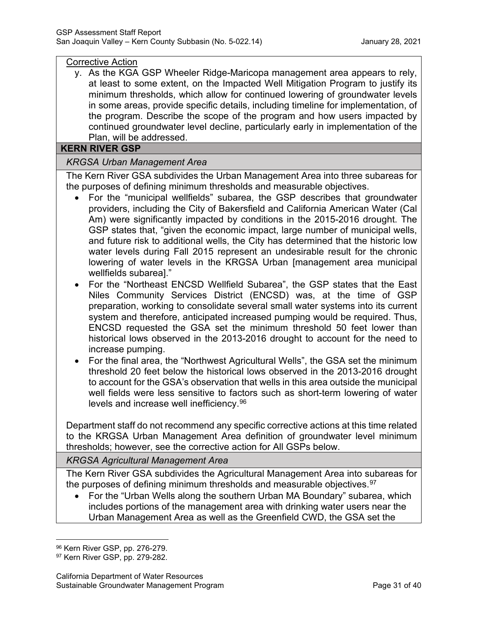#### Corrective Action

y. As the KGA GSP Wheeler Ridge-Maricopa management area appears to rely, at least to some extent, on the Impacted Well Mitigation Program to justify its minimum thresholds, which allow for continued lowering of groundwater levels in some areas, provide specific details, including timeline for implementation, of the program. Describe the scope of the program and how users impacted by continued groundwater level decline, particularly early in implementation of the Plan, will be addressed.

#### **KERN RIVER GSP**

# *KRGSA Urban Management Area*

The Kern River GSA subdivides the Urban Management Area into three subareas for the purposes of defining minimum thresholds and measurable objectives.

- For the "municipal wellfields" subarea, the GSP describes that groundwater providers, including the City of Bakersfield and California American Water (Cal Am) were significantly impacted by conditions in the 2015-2016 drought. The GSP states that, "given the economic impact, large number of municipal wells, and future risk to additional wells, the City has determined that the historic low water levels during Fall 2015 represent an undesirable result for the chronic lowering of water levels in the KRGSA Urban [management area municipal wellfields subarea]."
- For the "Northeast ENCSD Wellfield Subarea", the GSP states that the East Niles Community Services District (ENCSD) was, at the time of GSP preparation, working to consolidate several small water systems into its current system and therefore, anticipated increased pumping would be required. Thus, ENCSD requested the GSA set the minimum threshold 50 feet lower than historical lows observed in the 2013-2016 drought to account for the need to increase pumping.
- For the final area, the "Northwest Agricultural Wells", the GSA set the minimum threshold 20 feet below the historical lows observed in the 2013-2016 drought to account for the GSA's observation that wells in this area outside the municipal well fields were less sensitive to factors such as short-term lowering of water levels and increase well inefficiency.[96](#page-35-0)

Department staff do not recommend any specific corrective actions at this time related to the KRGSA Urban Management Area definition of groundwater level minimum thresholds; however, see the corrective action for All GSPs below.

#### *KRGSA Agricultural Management Area*

The Kern River GSA subdivides the Agricultural Management Area into subareas for the purposes of defining minimum thresholds and measurable objectives.<sup>[97](#page-35-1)</sup>

• For the "Urban Wells along the southern Urban MA Boundary" subarea, which includes portions of the management area with drinking water users near the Urban Management Area as well as the Greenfield CWD, the GSA set the

<span id="page-35-0"></span><sup>96</sup> Kern River GSP, pp. 276-279.

<span id="page-35-1"></span><sup>97</sup> Kern River GSP, pp. 279-282.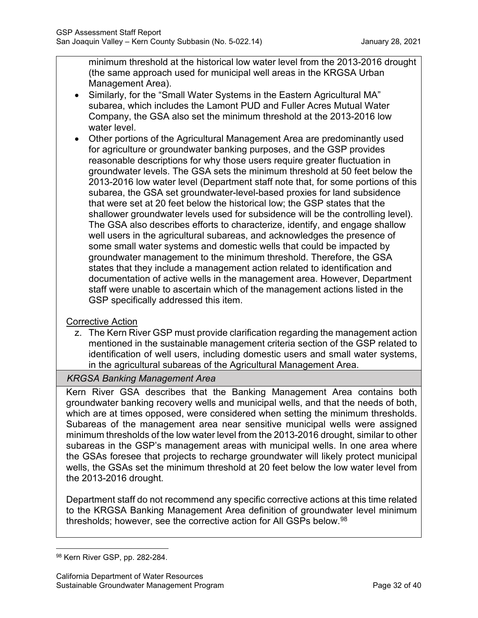minimum threshold at the historical low water level from the 2013-2016 drought (the same approach used for municipal well areas in the KRGSA Urban Management Area).

- Similarly, for the "Small Water Systems in the Eastern Agricultural MA" subarea, which includes the Lamont PUD and Fuller Acres Mutual Water Company, the GSA also set the minimum threshold at the 2013-2016 low water level.
- Other portions of the Agricultural Management Area are predominantly used for agriculture or groundwater banking purposes, and the GSP provides reasonable descriptions for why those users require greater fluctuation in groundwater levels. The GSA sets the minimum threshold at 50 feet below the 2013-2016 low water level (Department staff note that, for some portions of this subarea, the GSA set groundwater-level-based proxies for land subsidence that were set at 20 feet below the historical low; the GSP states that the shallower groundwater levels used for subsidence will be the controlling level). The GSA also describes efforts to characterize, identify, and engage shallow well users in the agricultural subareas, and acknowledges the presence of some small water systems and domestic wells that could be impacted by groundwater management to the minimum threshold. Therefore, the GSA states that they include a management action related to identification and documentation of active wells in the management area. However, Department staff were unable to ascertain which of the management actions listed in the GSP specifically addressed this item.

# Corrective Action

z. The Kern River GSP must provide clarification regarding the management action mentioned in the sustainable management criteria section of the GSP related to identification of well users, including domestic users and small water systems, in the agricultural subareas of the Agricultural Management Area.

# *KRGSA Banking Management Area*

Kern River GSA describes that the Banking Management Area contains both groundwater banking recovery wells and municipal wells, and that the needs of both, which are at times opposed, were considered when setting the minimum thresholds. Subareas of the management area near sensitive municipal wells were assigned minimum thresholds of the low water level from the 2013-2016 drought, similar to other subareas in the GSP's management areas with municipal wells. In one area where the GSAs foresee that projects to recharge groundwater will likely protect municipal wells, the GSAs set the minimum threshold at 20 feet below the low water level from the 2013-2016 drought.

Department staff do not recommend any specific corrective actions at this time related to the KRGSA Banking Management Area definition of groundwater level minimum thresholds; however, see the corrective action for All GSPs below.<sup>[98](#page-36-0)</sup>

<span id="page-36-0"></span><sup>98</sup> Kern River GSP, pp. 282-284.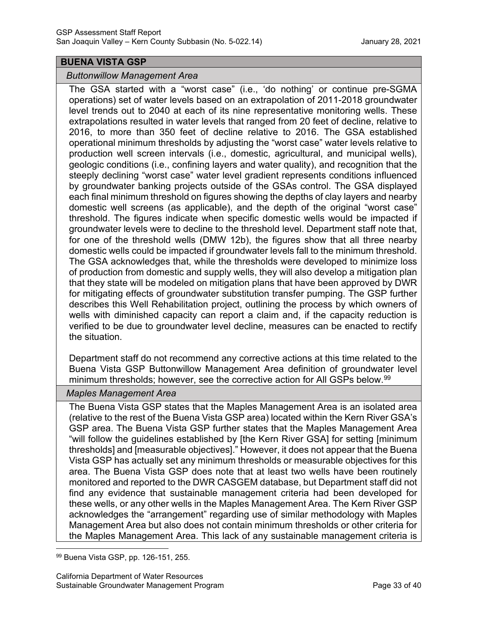#### **BUENA VISTA GSP**

#### *Buttonwillow Management Area*

The GSA started with a "worst case" (i.e., 'do nothing' or continue pre-SGMA operations) set of water levels based on an extrapolation of 2011-2018 groundwater level trends out to 2040 at each of its nine representative monitoring wells. These extrapolations resulted in water levels that ranged from 20 feet of decline, relative to 2016, to more than 350 feet of decline relative to 2016. The GSA established operational minimum thresholds by adjusting the "worst case" water levels relative to production well screen intervals (i.e., domestic, agricultural, and municipal wells), geologic conditions (i.e., confining layers and water quality), and recognition that the steeply declining "worst case" water level gradient represents conditions influenced by groundwater banking projects outside of the GSAs control. The GSA displayed each final minimum threshold on figures showing the depths of clay layers and nearby domestic well screens (as applicable), and the depth of the original "worst case" threshold. The figures indicate when specific domestic wells would be impacted if groundwater levels were to decline to the threshold level. Department staff note that, for one of the threshold wells (DMW 12b), the figures show that all three nearby domestic wells could be impacted if groundwater levels fall to the minimum threshold. The GSA acknowledges that, while the thresholds were developed to minimize loss of production from domestic and supply wells, they will also develop a mitigation plan that they state will be modeled on mitigation plans that have been approved by DWR for mitigating effects of groundwater substitution transfer pumping. The GSP further describes this Well Rehabilitation project, outlining the process by which owners of wells with diminished capacity can report a claim and, if the capacity reduction is verified to be due to groundwater level decline, measures can be enacted to rectify the situation.

Department staff do not recommend any corrective actions at this time related to the Buena Vista GSP Buttonwillow Management Area definition of groundwater level minimum thresholds; however, see the corrective action for All GSPs below. [99](#page-37-0)

#### *Maples Management Area*

The Buena Vista GSP states that the Maples Management Area is an isolated area (relative to the rest of the Buena Vista GSP area) located within the Kern River GSA's GSP area. The Buena Vista GSP further states that the Maples Management Area "will follow the guidelines established by [the Kern River GSA] for setting [minimum thresholds] and [measurable objectives]." However, it does not appear that the Buena Vista GSP has actually set any minimum thresholds or measurable objectives for this area. The Buena Vista GSP does note that at least two wells have been routinely monitored and reported to the DWR CASGEM database, but Department staff did not find any evidence that sustainable management criteria had been developed for these wells, or any other wells in the Maples Management Area. The Kern River GSP acknowledges the "arrangement" regarding use of similar methodology with Maples Management Area but also does not contain minimum thresholds or other criteria for the Maples Management Area. This lack of any sustainable management criteria is

<span id="page-37-0"></span><sup>99</sup> Buena Vista GSP, pp. 126-151, 255.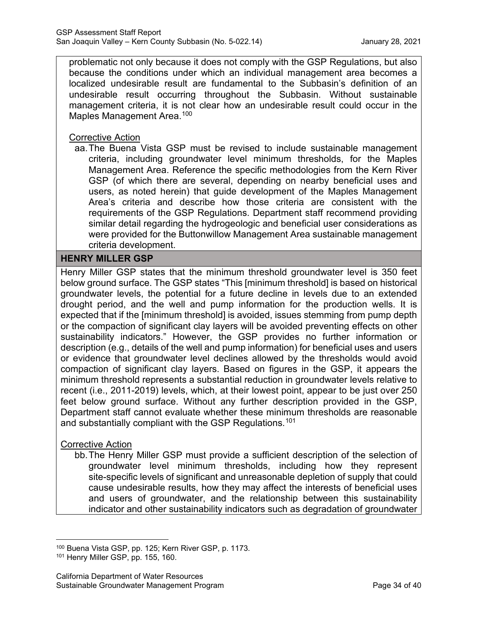problematic not only because it does not comply with the GSP Regulations, but also because the conditions under which an individual management area becomes a localized undesirable result are fundamental to the Subbasin's definition of an undesirable result occurring throughout the Subbasin. Without sustainable management criteria, it is not clear how an undesirable result could occur in the Maples Management Area.<sup>[100](#page-38-0)</sup>

#### Corrective Action

aa.The Buena Vista GSP must be revised to include sustainable management criteria, including groundwater level minimum thresholds, for the Maples Management Area. Reference the specific methodologies from the Kern River GSP (of which there are several, depending on nearby beneficial uses and users, as noted herein) that guide development of the Maples Management Area's criteria and describe how those criteria are consistent with the requirements of the GSP Regulations. Department staff recommend providing similar detail regarding the hydrogeologic and beneficial user considerations as were provided for the Buttonwillow Management Area sustainable management criteria development.

# **HENRY MILLER GSP**

Henry Miller GSP states that the minimum threshold groundwater level is 350 feet below ground surface. The GSP states "This [minimum threshold] is based on historical groundwater levels, the potential for a future decline in levels due to an extended drought period, and the well and pump information for the production wells. It is expected that if the [minimum threshold] is avoided, issues stemming from pump depth or the compaction of significant clay layers will be avoided preventing effects on other sustainability indicators." However, the GSP provides no further information or description (e.g., details of the well and pump information) for beneficial uses and users or evidence that groundwater level declines allowed by the thresholds would avoid compaction of significant clay layers. Based on figures in the GSP, it appears the minimum threshold represents a substantial reduction in groundwater levels relative to recent (i.e., 2011-2019) levels, which, at their lowest point, appear to be just over 250 feet below ground surface. Without any further description provided in the GSP, Department staff cannot evaluate whether these minimum thresholds are reasonable and substantially compliant with the GSP Regulations.<sup>[101](#page-38-1)</sup>

# Corrective Action

bb.The Henry Miller GSP must provide a sufficient description of the selection of groundwater level minimum thresholds, including how they represent site-specific levels of significant and unreasonable depletion of supply that could cause undesirable results, how they may affect the interests of beneficial uses and users of groundwater, and the relationship between this sustainability indicator and other sustainability indicators such as degradation of groundwater

<span id="page-38-0"></span><sup>100</sup> Buena Vista GSP, pp. 125; Kern River GSP, p. 1173.

<span id="page-38-1"></span><sup>101</sup> Henry Miller GSP, pp. 155, 160.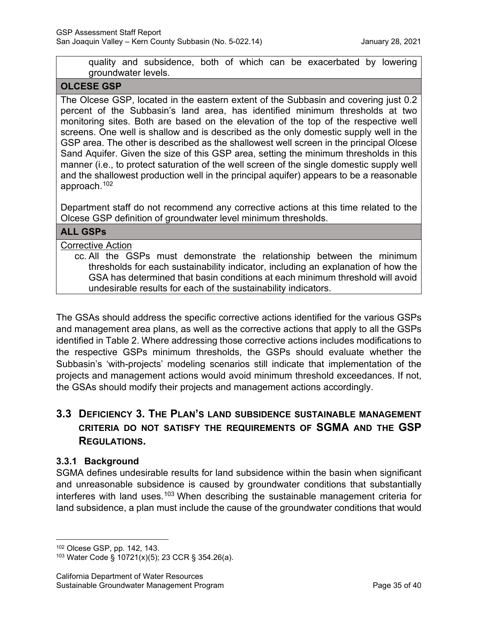quality and subsidence, both of which can be exacerbated by lowering groundwater levels.

#### **OLCESE GSP**

The Olcese GSP, located in the eastern extent of the Subbasin and covering just 0.2 percent of the Subbasin's land area, has identified minimum thresholds at two monitoring sites. Both are based on the elevation of the top of the respective well screens. One well is shallow and is described as the only domestic supply well in the GSP area. The other is described as the shallowest well screen in the principal Olcese Sand Aquifer. Given the size of this GSP area, setting the minimum thresholds in this manner (i.e., to protect saturation of the well screen of the single domestic supply well and the shallowest production well in the principal aquifer) appears to be a reasonable approach.[102](#page-39-0)

Department staff do not recommend any corrective actions at this time related to the Olcese GSP definition of groundwater level minimum thresholds.

### **ALL GSPs**

#### Corrective Action

cc. All the GSPs must demonstrate the relationship between the minimum thresholds for each sustainability indicator, including an explanation of how the GSA has determined that basin conditions at each minimum threshold will avoid undesirable results for each of the sustainability indicators.

The GSAs should address the specific corrective actions identified for the various GSPs and management area plans, as well as the corrective actions that apply to all the GSPs identified in Table 2. Where addressing those corrective actions includes modifications to the respective GSPs minimum thresholds, the GSPs should evaluate whether the Subbasin's 'with-projects' modeling scenarios still indicate that implementation of the projects and management actions would avoid minimum threshold exceedances. If not, the GSAs should modify their projects and management actions accordingly.

# **3.3 DEFICIENCY 3. THE PLAN'S LAND SUBSIDENCE SUSTAINABLE MANAGEMENT CRITERIA DO NOT SATISFY THE REQUIREMENTS OF SGMA AND THE GSP REGULATIONS.**

# **3.3.1 Background**

SGMA defines undesirable results for land subsidence within the basin when significant and unreasonable subsidence is caused by groundwater conditions that substantially interferes with land uses.<sup>[103](#page-39-1)</sup> When describing the sustainable management criteria for land subsidence, a plan must include the cause of the groundwater conditions that would

<span id="page-39-0"></span><sup>102</sup> Olcese GSP, pp. 142, 143.

<span id="page-39-1"></span><sup>103</sup> Water Code § 10721(x)(5); 23 CCR § 354.26(a).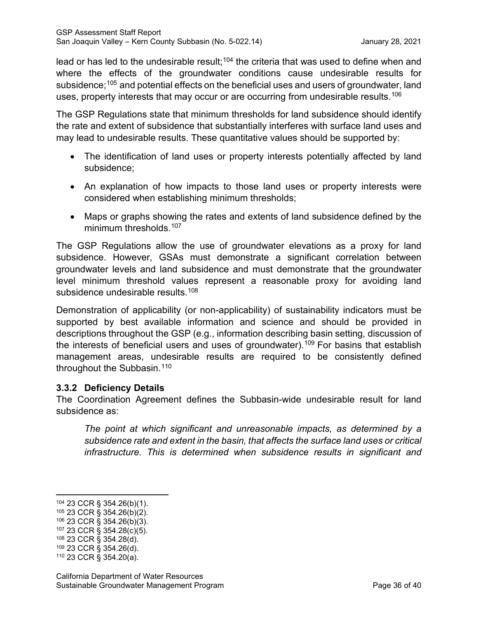lead or has led to the undesirable result;<sup>[104](#page-40-0)</sup> the criteria that was used to define when and where the effects of the groundwater conditions cause undesirable results for subsidence;<sup>[105](#page-40-1)</sup> and potential effects on the beneficial uses and users of groundwater, land uses, property interests that may occur or are occurring from undesirable results.<sup>[106](#page-40-2)</sup>

The GSP Regulations state that minimum thresholds for land subsidence should identify the rate and extent of subsidence that substantially interferes with surface land uses and may lead to undesirable results. These quantitative values should be supported by:

- The identification of land uses or property interests potentially affected by land subsidence;
- An explanation of how impacts to those land uses or property interests were considered when establishing minimum thresholds;
- Maps or graphs showing the rates and extents of land subsidence defined by the minimum thresholds.<sup>[107](#page-40-3)</sup>

The GSP Regulations allow the use of groundwater elevations as a proxy for land subsidence. However, GSAs must demonstrate a significant correlation between groundwater levels and land subsidence and must demonstrate that the groundwater level minimum threshold values represent a reasonable proxy for avoiding land subsidence undesirable results.<sup>[108](#page-40-4)</sup>

Demonstration of applicability (or non-applicability) of sustainability indicators must be supported by best available information and science and should be provided in descriptions throughout the GSP (e.g., information describing basin setting, discussion of the interests of beneficial users and uses of groundwater).<sup>[109](#page-40-5)</sup> For basins that establish management areas, undesirable results are required to be consistently defined throughout the Subbasin.<sup>[110](#page-40-6)</sup>

# **3.3.2 Deficiency Details**

The Coordination Agreement defines the Subbasin-wide undesirable result for land subsidence as:

*The point at which significant and unreasonable impacts, as determined by a subsidence rate and extent in the basin, that affects the surface land uses or critical infrastructure. This is determined when subsidence results in significant and* 

<span id="page-40-5"></span><sup>109</sup> 23 CCR § 354.26(d).

<span id="page-40-0"></span><sup>104</sup> 23 CCR § 354.26(b)(1).

<span id="page-40-1"></span><sup>105</sup> 23 CCR § 354.26(b)(2).

<span id="page-40-2"></span><sup>106</sup> 23 CCR § 354.26(b)(3).

<span id="page-40-3"></span><sup>107</sup> 23 CCR § 354.28(c)(5).

<span id="page-40-4"></span><sup>108</sup> 23 CCR § 354.28(d).

<span id="page-40-6"></span><sup>110</sup> 23 CCR § 354.20(a).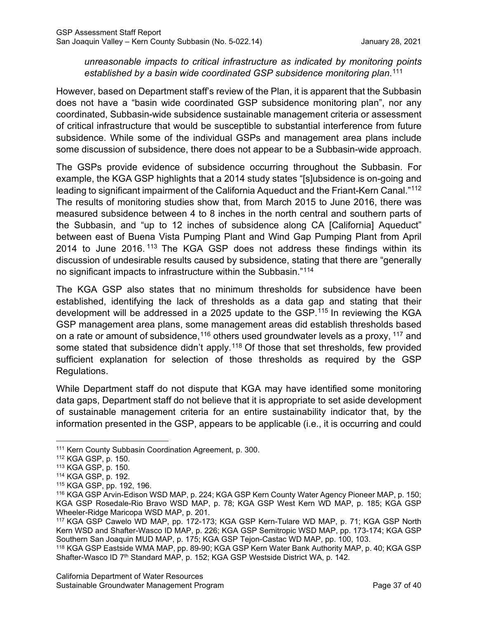# *unreasonable impacts to critical infrastructure as indicated by monitoring points established by a basin wide coordinated GSP subsidence monitoring plan*. [111](#page-41-0)

However, based on Department staff's review of the Plan, it is apparent that the Subbasin does not have a "basin wide coordinated GSP subsidence monitoring plan", nor any coordinated, Subbasin-wide subsidence sustainable management criteria or assessment of critical infrastructure that would be susceptible to substantial interference from future subsidence. While some of the individual GSPs and management area plans include some discussion of subsidence, there does not appear to be a Subbasin-wide approach.

The GSPs provide evidence of subsidence occurring throughout the Subbasin. For example, the KGA GSP highlights that a 2014 study states "[s]ubsidence is on-going and leading to significant impairment of the California Aqueduct and the Friant-Kern Canal."[112](#page-41-1) The results of monitoring studies show that, from March 2015 to June 2016, there was measured subsidence between 4 to 8 inches in the north central and southern parts of the Subbasin, and "up to 12 inches of subsidence along CA [California] Aqueduct" between east of Buena Vista Pumping Plant and Wind Gap Pumping Plant from April 2014 to June 2016. [113](#page-41-2) The KGA GSP does not address these findings within its discussion of undesirable results caused by subsidence, stating that there are "generally no significant impacts to infrastructure within the Subbasin."[114](#page-41-3)

The KGA GSP also states that no minimum thresholds for subsidence have been established, identifying the lack of thresholds as a data gap and stating that their development will be addressed in a 2025 update to the GSP. [115](#page-41-4) In reviewing the KGA GSP management area plans, some management areas did establish thresholds based on a rate or amount of subsidence,<sup>[116](#page-41-5)</sup> others used groundwater levels as a proxy, <sup>[117](#page-41-6)</sup> and some stated that subsidence didn't apply.<sup>[118](#page-41-7)</sup> Of those that set thresholds, few provided sufficient explanation for selection of those thresholds as required by the GSP Regulations.

While Department staff do not dispute that KGA may have identified some monitoring data gaps, Department staff do not believe that it is appropriate to set aside development of sustainable management criteria for an entire sustainability indicator that, by the information presented in the GSP, appears to be applicable (i.e., it is occurring and could

<span id="page-41-0"></span><sup>111</sup> Kern County Subbasin Coordination Agreement, p. 300.

<span id="page-41-1"></span><sup>112</sup> KGA GSP, p. 150.

<span id="page-41-2"></span><sup>113</sup> KGA GSP, p. 150.

<span id="page-41-3"></span><sup>114</sup> KGA GSP, p. 192.

<span id="page-41-4"></span><sup>115</sup> KGA GSP, pp. 192, 196.

<span id="page-41-5"></span><sup>116</sup> KGA GSP Arvin-Edison WSD MAP, p. 224; KGA GSP Kern County Water Agency Pioneer MAP, p. 150; KGA GSP Rosedale-Rio Bravo WSD MAP, p. 78; KGA GSP West Kern WD MAP, p. 185; KGA GSP Wheeler-Ridge Maricopa WSD MAP, p. 201.

<span id="page-41-6"></span><sup>117</sup> KGA GSP Cawelo WD MAP, pp. 172-173; KGA GSP Kern-Tulare WD MAP, p. 71; KGA GSP North Kern WSD and Shafter-Wasco ID MAP, p. 226; KGA GSP Semitropic WSD MAP, pp. 173-174; KGA GSP Southern San Joaquin MUD MAP, p. 175; KGA GSP Tejon-Castac WD MAP, pp. 100, 103.

<span id="page-41-7"></span><sup>118</sup> KGA GSP Eastside WMA MAP, pp. 89-90; KGA GSP Kern Water Bank Authority MAP, p. 40; KGA GSP Shafter-Wasco ID 7<sup>th</sup> Standard MAP, p. 152; KGA GSP Westside District WA, p. 142.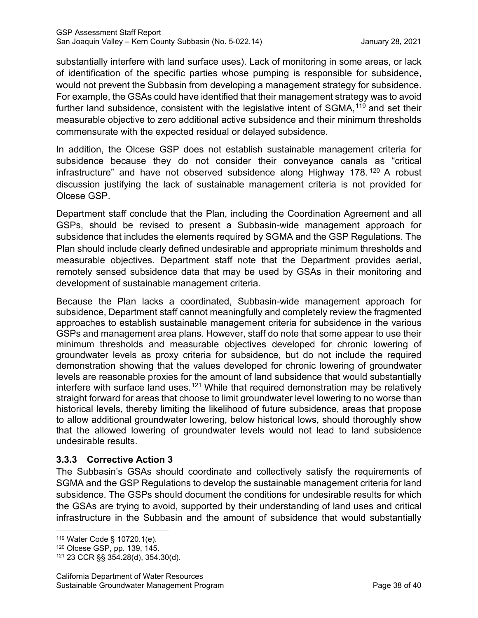substantially interfere with land surface uses). Lack of monitoring in some areas, or lack of identification of the specific parties whose pumping is responsible for subsidence, would not prevent the Subbasin from developing a management strategy for subsidence. For example, the GSAs could have identified that their management strategy was to avoid further land subsidence, consistent with the legislative intent of SGMA,<sup>[119](#page-42-0)</sup> and set their measurable objective to zero additional active subsidence and their minimum thresholds commensurate with the expected residual or delayed subsidence.

In addition, the Olcese GSP does not establish sustainable management criteria for subsidence because they do not consider their conveyance canals as "critical infrastructure" and have not observed subsidence along Highway 178. [120](#page-42-1) A robust discussion justifying the lack of sustainable management criteria is not provided for Olcese GSP.

Department staff conclude that the Plan, including the Coordination Agreement and all GSPs, should be revised to present a Subbasin-wide management approach for subsidence that includes the elements required by SGMA and the GSP Regulations. The Plan should include clearly defined undesirable and appropriate minimum thresholds and measurable objectives. Department staff note that the Department provides aerial, remotely sensed subsidence data that may be used by GSAs in their monitoring and development of sustainable management criteria.

Because the Plan lacks a coordinated, Subbasin-wide management approach for subsidence, Department staff cannot meaningfully and completely review the fragmented approaches to establish sustainable management criteria for subsidence in the various GSPs and management area plans. However, staff do note that some appear to use their minimum thresholds and measurable objectives developed for chronic lowering of groundwater levels as proxy criteria for subsidence, but do not include the required demonstration showing that the values developed for chronic lowering of groundwater levels are reasonable proxies for the amount of land subsidence that would substantially interfere with surface land uses.<sup>[121](#page-42-2)</sup> While that required demonstration may be relatively straight forward for areas that choose to limit groundwater level lowering to no worse than historical levels, thereby limiting the likelihood of future subsidence, areas that propose to allow additional groundwater lowering, below historical lows, should thoroughly show that the allowed lowering of groundwater levels would not lead to land subsidence undesirable results.

# **3.3.3 Corrective Action 3**

The Subbasin's GSAs should coordinate and collectively satisfy the requirements of SGMA and the GSP Regulations to develop the sustainable management criteria for land subsidence. The GSPs should document the conditions for undesirable results for which the GSAs are trying to avoid, supported by their understanding of land uses and critical infrastructure in the Subbasin and the amount of subsidence that would substantially

<span id="page-42-0"></span><sup>119</sup> Water Code § 10720.1(e).

<span id="page-42-2"></span><span id="page-42-1"></span><sup>&</sup>lt;sup>120</sup> Olcese GSP, pp. 139, 145.<br><sup>121</sup> 23 CCR §§ 354.28(d), 354.30(d).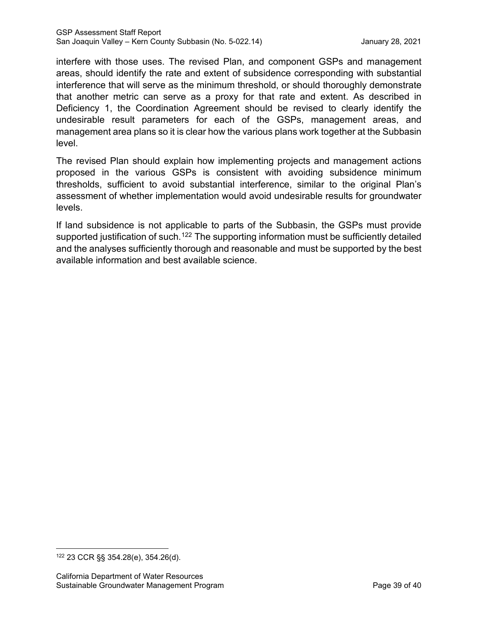interfere with those uses. The revised Plan, and component GSPs and management areas, should identify the rate and extent of subsidence corresponding with substantial interference that will serve as the minimum threshold, or should thoroughly demonstrate that another metric can serve as a proxy for that rate and extent. As described in Deficiency 1, the Coordination Agreement should be revised to clearly identify the undesirable result parameters for each of the GSPs, management areas, and management area plans so it is clear how the various plans work together at the Subbasin level.

The revised Plan should explain how implementing projects and management actions proposed in the various GSPs is consistent with avoiding subsidence minimum thresholds, sufficient to avoid substantial interference, similar to the original Plan's assessment of whether implementation would avoid undesirable results for groundwater levels.

If land subsidence is not applicable to parts of the Subbasin, the GSPs must provide supported justification of such.<sup>[122](#page-43-0)</sup> The supporting information must be sufficiently detailed and the analyses sufficiently thorough and reasonable and must be supported by the best available information and best available science.

<span id="page-43-0"></span><sup>122</sup> 23 CCR §§ 354.28(e), 354.26(d).